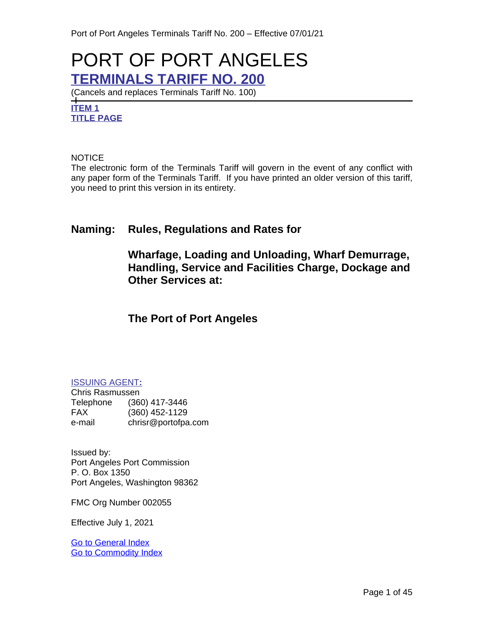# PORT OF PORT ANGELES **TERMINALS TARIFF NO. 200**

(Cancels and replaces Terminals Tariff No. 100)

**ITEM 1 TITLE PAGE**

**NOTICE** 

The electronic form of the Terminals Tariff will govern in the event of any conflict with any paper form of the Terminals Tariff. If you have printed an older version of this tariff, you need to print this version in its entirety.

# **Naming: Rules, Regulations and Rates for**

**Wharfage, Loading and Unloading, Wharf Demurrage, Handling, Service and Facilities Charge, Dockage and Other Services at:**

# **The Port of Port Angeles**

# ISSUING AGENT**:**

Chris Rasmussen Telephone (360) 417-3446 FAX (360) 452-1129 e-mail chrisr@portofpa.com

Issued by: Port Angeles Port Commission P. O. Box 1350 Port Angeles, Washington 98362

FMC Org Number 002055

Effective July 1, 2021

[Go to General Index](#page-3-0) [Go to Commodity Index](#page-6-0)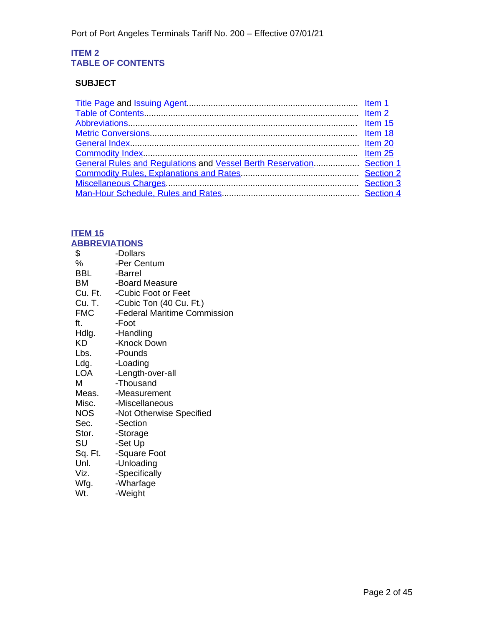# **ITEM 2 TABLE OF CONTENTS**

# **SUBJECT**

| General Rules and Regulations and Vessel Berth Reservation Section 1 |  |
|----------------------------------------------------------------------|--|
|                                                                      |  |
|                                                                      |  |
|                                                                      |  |

# **ITEM 15**

<span id="page-1-1"></span><span id="page-1-0"></span>

| <b>ABBREVIATIONS</b> |                                |
|----------------------|--------------------------------|
| \$                   | -Dollars                       |
| %                    | -Per Centum                    |
| BBL                  | -Barrel                        |
| ВM                   | -Board Measure                 |
|                      | Cu. Ft. - Cubic Foot or Feet   |
|                      | Cu. T. -Cubic Ton (40 Cu. Ft.) |
| <b>FMC</b>           | -Federal Maritime Commission   |
| ft.                  | -Foot                          |
|                      | Hdlg. -Handling                |
| KD                   | -Knock Down                    |
| Lbs.                 | -Pounds                        |
| Ldg.                 | -Loading                       |
| LOA                  | -Length-over-all               |
| M                    | -Thousand                      |
|                      | Meas. - Measurement            |
|                      | Misc. - Miscellaneous          |
| NOS                  | -Not Otherwise Specified       |
| Sec.                 | -Section                       |
| Stor.                | -Storage                       |
| SU                   | -Set Up                        |
| Sq. Ft.              | -Square Foot                   |
| Unl.                 | -Unloading                     |
| Viz.                 | -Specifically                  |
| Wfg.                 | -Wharfage                      |
| Wt.                  | -Weight                        |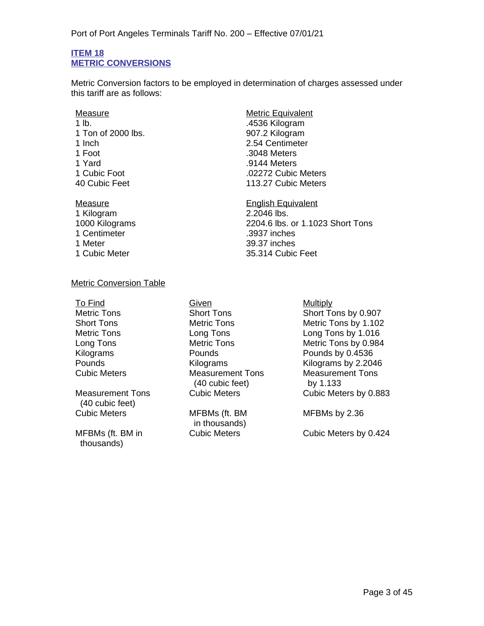### <span id="page-2-1"></span>**ITEM 18 METRIC CONVERSIONS**

<span id="page-2-0"></span>Metric Conversion factors to be employed in determination of charges assessed under this tariff are as follows:

- Measure Measure Metric Equivalent 1 lb. .4536 Kilogram 1 Ton of 2000 lbs. 907.2 Kilogram<br>1 Inch 2.54 Centimeter 1 Foot .3048 Meters 1 Yard .9144 Meters
- 1 Kilogram 2.2046 lbs. 1 Centimeter .3937 inches 1 Meter 39.37 inches

2.54 Centimeter 1 Cubic Foot .02272 Cubic Meters 113.27 Cubic Meters

Measure **English Equivalent** 1000 Kilograms 2204.6 lbs. or 1.1023 Short Tons 1 Cubic Meter 35.314 Cubic Feet

## Metric Conversion Table

To Find Given Given Multiply

Measurement Tons (40 cubic feet)

MFBMs (ft. BM in thousands)

Metric Tons Short Tons Short Tons Short Tons by 0.907 Short Tons Metric Tons Metric Tons by 1.102 **Measurement Tons** (40 cubic feet)

> MFBMs (ft. BM in thousands)

Metric Tons Long Tons Long Tons by 1.016 Long Tons Metric Tons Metric Tons by 0.984 Kilograms **Pounds** Pounds **Pounds Pounds Pounds Pounds by 0.4536** Pounds<br>Cubic Meters **Example 2.2046**<br>Cubic Meters **Measurement Tons** Measurement Tons Measurement Tons by 1.133 Cubic Meters Cubic Meters by 0.883

MFBMs by 2.36

Cubic Meters Cubic Meters by 0.424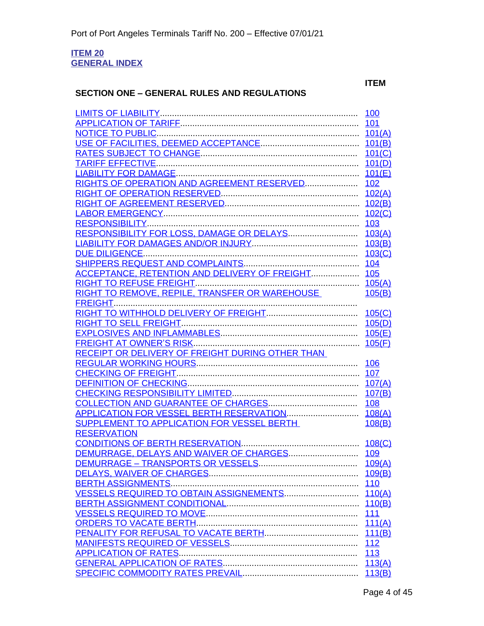#### <span id="page-3-1"></span><span id="page-3-0"></span>**ITEM 20 GENERAL INDEX**

# **SECTION ONE – GENERAL RULES AND REGULATIONS**

# **ITEM**

|                                                                 | 101(B)           |
|-----------------------------------------------------------------|------------------|
|                                                                 | 101(C)           |
|                                                                 | 101(D)           |
|                                                                 | 101(E)           |
| RIGHTS OF OPERATION AND AGREEMENT RESERVED                      | <u>102</u>       |
|                                                                 | 102(A)           |
|                                                                 |                  |
|                                                                 | <u>102(C)</u>    |
|                                                                 |                  |
|                                                                 | 103(A)           |
|                                                                 | 103(B)           |
|                                                                 | 103(C)           |
|                                                                 |                  |
| ACCEPTANCE, RETENTION AND DELIVERY OF FREIGHT 105               |                  |
|                                                                 |                  |
| RIGHT TO REMOVE, REPILE, TRANSFER OR WAREHOUSE                  | 105(B)           |
|                                                                 |                  |
|                                                                 | 105(C)           |
|                                                                 | 105(D)           |
|                                                                 | 105(E)           |
|                                                                 | 105(F)           |
| RECEIPT OR DELIVERY OF FREIGHT DURING OTHER THAN                |                  |
|                                                                 | 106              |
|                                                                 |                  |
|                                                                 |                  |
|                                                                 | 107(B)           |
|                                                                 | <b>108</b>       |
|                                                                 | 108(A)           |
| SUPPLEMENT TO APPLICATION FOR VESSEL BERTH                      | 108(B)           |
| <b>RESERVATION</b>                                              |                  |
|                                                                 |                  |
|                                                                 |                  |
|                                                                 |                  |
|                                                                 |                  |
|                                                                 | <u>109(B)</u>    |
|                                                                 | <u>110</u>       |
| VESSELS REQUIRED TO OBTAIN ASSIGNEMENTS                         | 110(A)           |
| BERTH ASSIGNMENT CONDITIONAL ELECTRICITY ASSIGNMENT CONDITIONAL | 110(B)           |
|                                                                 | <u>111</u>       |
|                                                                 | 111(A)           |
|                                                                 | 111(B)           |
|                                                                 | <u>112</u>       |
|                                                                 | 113              |
|                                                                 | 113(A)<br>113(B) |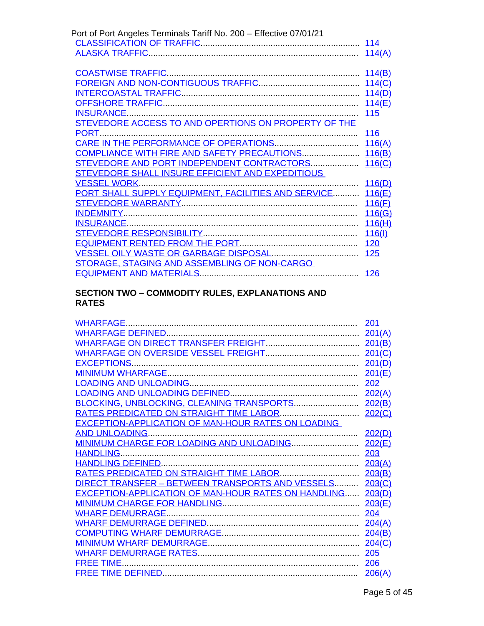| Port of Port Angeles Terminals Tariff No. 200 - Effective 07/01/21 |            |
|--------------------------------------------------------------------|------------|
|                                                                    |            |
|                                                                    | 114(A)     |
|                                                                    |            |
|                                                                    | 114(B)     |
|                                                                    |            |
|                                                                    | 114(D)     |
|                                                                    | 114(E)     |
|                                                                    | 115        |
| STEVEDORE ACCESS TO AND OPERTIONS ON PROPERTY OF THE               |            |
| PORT.                                                              | 116        |
|                                                                    | 116(A)     |
| COMPLIANCE WITH FIRE AND SAFETY PRECAUTIONS 116(B)                 |            |
| STEVEDORE AND PORT INDEPENDENT CONTRACTORS                         | 116(C)     |
| STEVEDORE SHALL INSURE EFFICIENT AND EXPEDITIOUS                   |            |
|                                                                    | 116(D)     |
| PORT SHALL SUPPLY EQUIPMENT, FACILITIES AND SERVICE                | 116(E)     |
|                                                                    | 116(F)     |
|                                                                    | 116(G)     |
|                                                                    | 116(H)     |
|                                                                    | 116(1)     |
|                                                                    | 120        |
|                                                                    | 125        |
| STORAGE, STAGING AND ASSEMBLING OF NON-CARGO                       |            |
|                                                                    | <b>126</b> |
|                                                                    |            |

## **SECTION TWO – COMMODITY RULES, EXPLANATIONS AND RATES**

| <b>WHARFAGE</b>                                            | 201           |
|------------------------------------------------------------|---------------|
|                                                            | 201(A)        |
|                                                            |               |
|                                                            | 201(C)        |
|                                                            | 201(D)        |
|                                                            | 201(E)        |
|                                                            | 202           |
|                                                            | 202(A)        |
| BLOCKING, UNBLOCKING, CLEANING TRANSPORTS                  | 202(B)        |
|                                                            | <u>202(C)</u> |
| EXCEPTION-APPLICATION OF MAN-HOUR RATES ON LOADING         |               |
|                                                            | 202(D)        |
| MINIMUM CHARGE FOR LOADING AND UNLOADING                   | 202(E)        |
| <b>HANDLING</b>                                            | 203           |
|                                                            | 203(A)        |
|                                                            | 203(B)        |
| DIRECT TRANSFER - BETWEEN TRANSPORTS AND VESSELS           | 203(C)        |
| EXCEPTION-APPLICATION OF MAN-HOUR RATES ON HANDLING 203(D) |               |
|                                                            | 203(E)        |
|                                                            | 204           |
|                                                            | 204(A)        |
|                                                            | <u>204(B)</u> |
|                                                            |               |
|                                                            | 205           |
| <b>FREE TIME.</b>                                          | 206           |
|                                                            | 206(A)        |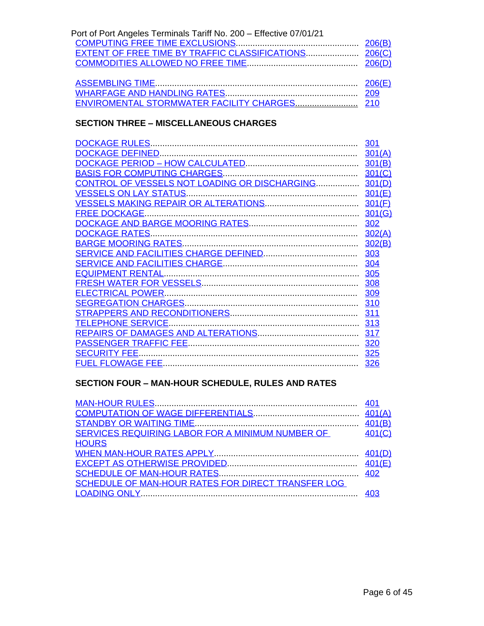| Port of Port Angeles Terminals Tariff No. 200 - Effective 07/01/21 |  |
|--------------------------------------------------------------------|--|
|                                                                    |  |
|                                                                    |  |
|                                                                    |  |
|                                                                    |  |
|                                                                    |  |
|                                                                    |  |
|                                                                    |  |

# **SECTION THREE – MISCELLANEOUS CHARGES**

|                                                      | 301    |
|------------------------------------------------------|--------|
|                                                      | 301(A) |
|                                                      | 301(B) |
|                                                      |        |
| CONTROL OF VESSELS NOT LOADING OR DISCHARGING 301(D) |        |
|                                                      | 301(E) |
|                                                      |        |
|                                                      |        |
|                                                      | 302    |
|                                                      | 302(A) |
|                                                      | 302(B) |
|                                                      | 303    |
|                                                      | 304    |
|                                                      |        |
|                                                      | 308    |
|                                                      | 309    |
|                                                      | 310    |
|                                                      |        |
|                                                      |        |
|                                                      |        |
|                                                      |        |
|                                                      | 325    |
|                                                      |        |
|                                                      | 326    |

# **SECTION FOUR – MAN-HOUR SCHEDULE, RULES AND RATES**

| SERVICES REQUIRING LABOR FOR A MINIMUM NUMBER OF   | 401<br>401(C) |
|----------------------------------------------------|---------------|
| <b>HOURS</b>                                       |               |
| SCHEDULE OF MAN-HOUR RATES FOR DIRECT TRANSFER LOG |               |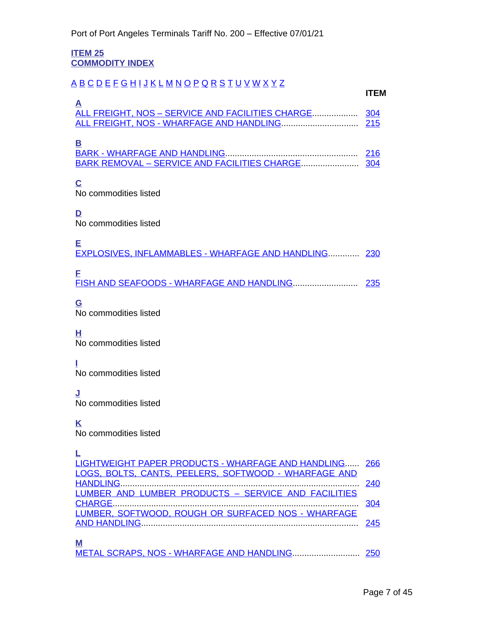<span id="page-6-1"></span>**ITEM 25 COMMODITY INDEX**

# <span id="page-6-0"></span>[A](#page-6-2) [B](#page-6-3) [C](#page-6-4) [D](#page-6-5) [E](#page-6-6) [F](#page-6-7) [G](#page-6-8) [H](#page-6-9) [I](#page-6-10) [J](#page-6-11) [K](#page-6-12) [L](#page-6-13) [M](#page-6-14) [N](#page-7-0) [O](#page-7-1) [P](#page-7-2) [Q](#page-7-3) [R](#page-7-4) [S](#page-7-5) [T](#page-7-6) [U](#page-7-7) [V](#page-7-8) [W](#page-7-9) [X](#page-7-10) [Y](#page-7-11) [Z](#page-7-12)

<span id="page-6-2"></span>

| A |  |
|---|--|
|   |  |
|   |  |
|   |  |

# **[B](#page-31-1)**

<span id="page-6-3"></span>

| - |  |
|---|--|
|   |  |
|   |  |

# **C**

<span id="page-6-4"></span>No commodities listed

**D**

<span id="page-6-5"></span>No commodities listed

<span id="page-6-6"></span>

| <b>EXPLOSIVES, INFLAMMABLES - WHARFAGE AND HANDLING 230</b> |  |
|-------------------------------------------------------------|--|

<span id="page-6-7"></span>

# **G**

<span id="page-6-8"></span>No commodities listed

<span id="page-6-9"></span>**H** No commodities listed

<span id="page-6-10"></span>**I** No commodities listed

<span id="page-6-11"></span>**J** No commodities listed

# **K**

<span id="page-6-12"></span>No commodities listed

# **L**

<span id="page-6-14"></span><span id="page-6-13"></span>

| LIGHTWEIGHT PAPER PRODUCTS - WHARFAGE AND HANDLING 266 |  |
|--------------------------------------------------------|--|
| LOGS, BOLTS, CANTS, PEELERS, SOFTWOOD - WHARFAGE AND   |  |
|                                                        |  |
| LUMBER AND LUMBER PRODUCTS - SERVICE AND FACILITIES    |  |
|                                                        |  |
| LUMBER, SOFTWOOD, ROUGH OR SURFACED NOS - WHARFAGE     |  |
|                                                        |  |
|                                                        |  |
| M                                                      |  |
|                                                        |  |

**ITEM**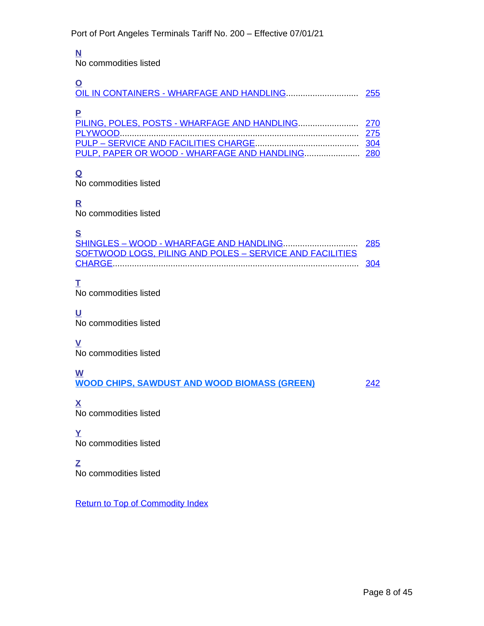# <span id="page-7-0"></span>**N**

No commodities listed

<span id="page-7-1"></span>

| $\tilde{\phantom{a}}$ |  |
|-----------------------|--|
| P                     |  |
|                       |  |
|                       |  |
|                       |  |

<span id="page-7-2"></span>

# **Q**

<span id="page-7-3"></span>No commodities listed

# **R**

<span id="page-7-4"></span>No commodities listed

# **S**

<span id="page-7-5"></span>

| SOFTWOOD LOGS, PILING AND POLES - SERVICE AND FACILITIES |  |
|----------------------------------------------------------|--|
|                                                          |  |

# **T**

<span id="page-7-6"></span>No commodities listed

# **U**

<span id="page-7-7"></span>No commodities listed

# **V**

<span id="page-7-8"></span>No commodities listed

# **W**

<span id="page-7-9"></span>**WOOD CHIPS, SAWDUST AND WOOD BIOMASS (GREEN)** [242](#page-32-9)

<span id="page-7-10"></span>**X** No commodities listed

# **Y**

<span id="page-7-11"></span>No commodities listed

# **Z**

<span id="page-7-12"></span> $\overline{N}$  No commodities listed

Return to Top of Commodity Index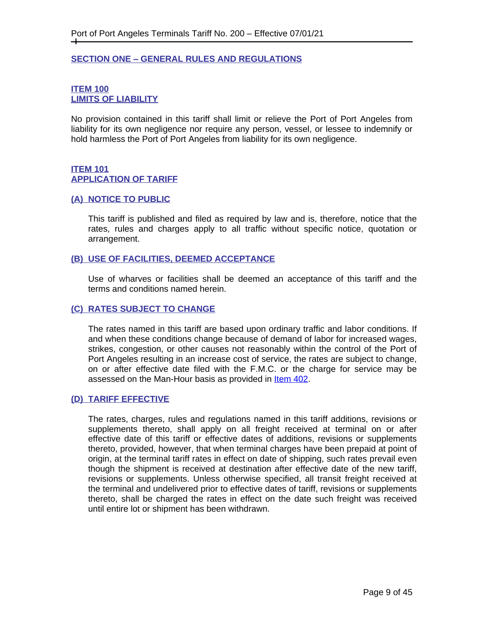## <span id="page-8-1"></span><span id="page-8-0"></span>**SECTION ONE – GENERAL RULES AND REGULATIONS**

## <span id="page-8-3"></span><span id="page-8-2"></span>**ITEM 100 LIMITS OF LIABILITY**

No provision contained in this tariff shall limit or relieve the Port of Port Angeles from liability for its own negligence nor require any person, vessel, or lessee to indemnify or hold harmless the Port of Port Angeles from liability for its own negligence.

# <span id="page-8-5"></span><span id="page-8-4"></span>**ITEM 101 APPLICATION OF TARIFF**

#### <span id="page-8-6"></span>**(A) NOTICE TO PUBLIC**

This tariff is published and filed as required by law and is, therefore, notice that the rates, rules and charges apply to all traffic without specific notice, quotation or arrangement.

## <span id="page-8-7"></span>**(B) USE OF FACILITIES, DEEMED ACCEPTANCE**

Use of wharves or facilities shall be deemed an acceptance of this tariff and the terms and conditions named herein.

## <span id="page-8-8"></span>**(C) RATES SUBJECT TO CHANGE**

The rates named in this tariff are based upon ordinary traffic and labor conditions. If and when these conditions change because of demand of labor for increased wages, strikes, congestion, or other causes not reasonably within the control of the Port of Port Angeles resulting in an increase cost of service, the rates are subject to change, on or after effective date filed with the F.M.C. or the charge for service may be assessed on the Man-Hour basis as provided in [Item 402.](#page-43-1)

#### <span id="page-8-9"></span>**(D) TARIFF EFFECTIVE**

The rates, charges, rules and regulations named in this tariff additions, revisions or supplements thereto, shall apply on all freight received at terminal on or after effective date of this tariff or effective dates of additions, revisions or supplements thereto, provided, however, that when terminal charges have been prepaid at point of origin, at the terminal tariff rates in effect on date of shipping, such rates prevail even though the shipment is received at destination after effective date of the new tariff, revisions or supplements. Unless otherwise specified, all transit freight received at the terminal and undelivered prior to effective dates of tariff, revisions or supplements thereto, shall be charged the rates in effect on the date such freight was received until entire lot or shipment has been withdrawn.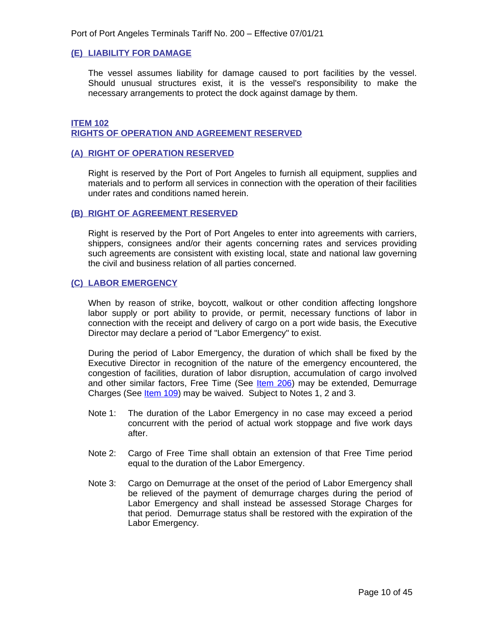#### <span id="page-9-0"></span>**(E) LIABILITY FOR DAMAGE**

The vessel assumes liability for damage caused to port facilities by the vessel. Should unusual structures exist, it is the vessel's responsibility to make the necessary arrangements to protect the dock against damage by them.

#### <span id="page-9-2"></span><span id="page-9-1"></span>**ITEM 102 RIGHTS OF OPERATION AND AGREEMENT RESERVED**

#### <span id="page-9-3"></span>**(A) RIGHT OF OPERATION RESERVED**

Right is reserved by the Port of Port Angeles to furnish all equipment, supplies and materials and to perform all services in connection with the operation of their facilities under rates and conditions named herein.

#### <span id="page-9-4"></span>**(B) RIGHT OF AGREEMENT RESERVED**

Right is reserved by the Port of Port Angeles to enter into agreements with carriers, shippers, consignees and/or their agents concerning rates and services providing such agreements are consistent with existing local, state and national law governing the civil and business relation of all parties concerned.

## <span id="page-9-5"></span>**(C) LABOR EMERGENCY**

When by reason of strike, boycott, walkout or other condition affecting longshore labor supply or port ability to provide, or permit, necessary functions of labor in connection with the receipt and delivery of cargo on a port wide basis, the Executive Director may declare a period of "Labor Emergency" to exist.

During the period of Labor Emergency, the duration of which shall be fixed by the Executive Director in recognition of the nature of the emergency encountered, the congestion of facilities, duration of labor disruption, accumulation of cargo involved and other similar factors, Free Time (See [Item 206](#page-29-2)) may be extended, Demurrage Charges (See *[Item 109](#page-17-1)*) may be waived. Subject to Notes 1, 2 and 3.

- Note 1: The duration of the Labor Emergency in no case may exceed a period concurrent with the period of actual work stoppage and five work days after.
- Note 2: Cargo of Free Time shall obtain an extension of that Free Time period equal to the duration of the Labor Emergency.
- Note 3: Cargo on Demurrage at the onset of the period of Labor Emergency shall be relieved of the payment of demurrage charges during the period of Labor Emergency and shall instead be assessed Storage Charges for that period. Demurrage status shall be restored with the expiration of the Labor Emergency.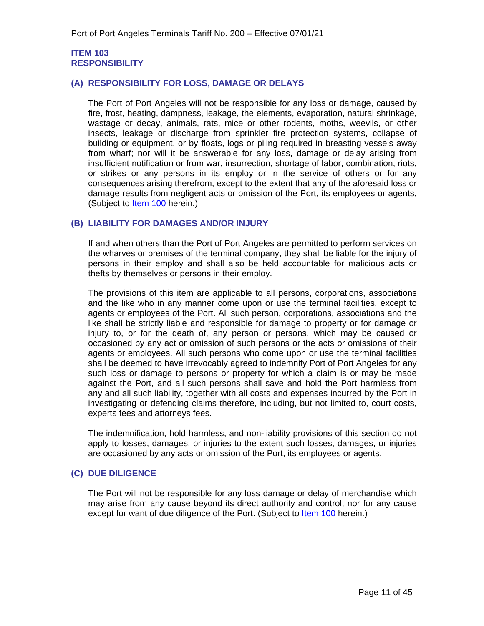## <span id="page-10-1"></span><span id="page-10-0"></span>**ITEM 103 RESPONSIBILITY**

## <span id="page-10-2"></span>**(A) RESPONSIBILITY FOR LOSS, DAMAGE OR DELAYS**

The Port of Port Angeles will not be responsible for any loss or damage, caused by fire, frost, heating, dampness, leakage, the elements, evaporation, natural shrinkage, wastage or decay, animals, rats, mice or other rodents, moths, weevils, or other insects, leakage or discharge from sprinkler fire protection systems, collapse of building or equipment, or by floats, logs or piling required in breasting vessels away from wharf; nor will it be answerable for any loss, damage or delay arising from insufficient notification or from war, insurrection, shortage of labor, combination, riots, or strikes or any persons in its employ or in the service of others or for any consequences arising therefrom, except to the extent that any of the aforesaid loss or damage results from negligent acts or omission of the Port, its employees or agents, (Subject to [Item 100](#page-17-5) herein.)

## <span id="page-10-3"></span>**(B) LIABILITY FOR DAMAGES AND/OR INJURY**

If and when others than the Port of Port Angeles are permitted to perform services on the wharves or premises of the terminal company, they shall be liable for the injury of persons in their employ and shall also be held accountable for malicious acts or thefts by themselves or persons in their employ.

The provisions of this item are applicable to all persons, corporations, associations and the like who in any manner come upon or use the terminal facilities, except to agents or employees of the Port. All such person, corporations, associations and the like shall be strictly liable and responsible for damage to property or for damage or injury to, or for the death of, any person or persons, which may be caused or occasioned by any act or omission of such persons or the acts or omissions of their agents or employees. All such persons who come upon or use the terminal facilities shall be deemed to have irrevocably agreed to indemnify Port of Port Angeles for any such loss or damage to persons or property for which a claim is or may be made against the Port, and all such persons shall save and hold the Port harmless from any and all such liability, together with all costs and expenses incurred by the Port in investigating or defending claims therefore, including, but not limited to, court costs, experts fees and attorneys fees.

The indemnification, hold harmless, and non-liability provisions of this section do not apply to losses, damages, or injuries to the extent such losses, damages, or injuries are occasioned by any acts or omission of the Port, its employees or agents.

# <span id="page-10-4"></span>**(C) DUE DILIGENCE**

The Port will not be responsible for any loss damage or delay of merchandise which may arise from any cause beyond its direct authority and control, nor for any cause except for want of due diligence of the Port. (Subject to **Item 100** herein.)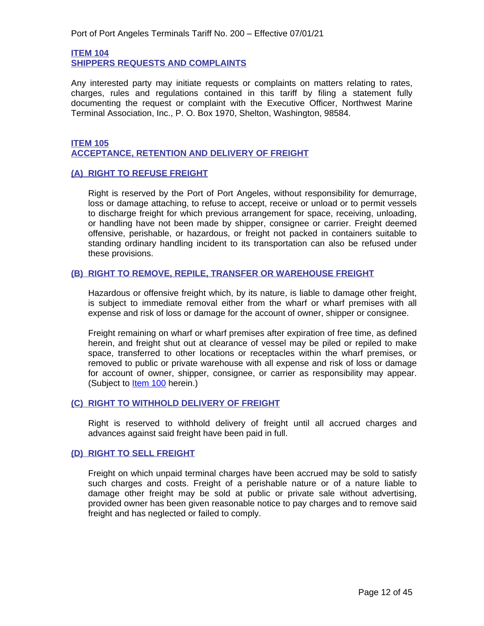<span id="page-11-1"></span><span id="page-11-0"></span>**ITEM 104 SHIPPERS REQUESTS AND COMPLAINTS**

Any interested party may initiate requests or complaints on matters relating to rates, charges, rules and regulations contained in this tariff by filing a statement fully documenting the request or complaint with the Executive Officer, Northwest Marine Terminal Association, Inc., P. O. Box 1970, Shelton, Washington, 98584.

## <span id="page-11-3"></span><span id="page-11-2"></span>**ITEM 105 ACCEPTANCE, RETENTION AND DELIVERY OF FREIGHT**

# <span id="page-11-4"></span>**(A) RIGHT TO REFUSE FREIGHT**

Right is reserved by the Port of Port Angeles, without responsibility for demurrage, loss or damage attaching, to refuse to accept, receive or unload or to permit vessels to discharge freight for which previous arrangement for space, receiving, unloading, or handling have not been made by shipper, consignee or carrier. Freight deemed offensive, perishable, or hazardous, or freight not packed in containers suitable to standing ordinary handling incident to its transportation can also be refused under these provisions.

# <span id="page-11-5"></span>**(B) RIGHT TO REMOVE, REPILE, TRANSFER OR WAREHOUSE FREIGHT**

Hazardous or offensive freight which, by its nature, is liable to damage other freight, is subject to immediate removal either from the wharf or wharf premises with all expense and risk of loss or damage for the account of owner, shipper or consignee.

Freight remaining on wharf or wharf premises after expiration of free time, as defined herein, and freight shut out at clearance of vessel may be piled or repiled to make space, transferred to other locations or receptacles within the wharf premises, or removed to public or private warehouse with all expense and risk of loss or damage for account of owner, shipper, consignee, or carrier as responsibility may appear. (Subject to **Item 100** herein.)

# <span id="page-11-6"></span>**(C) RIGHT TO WITHHOLD DELIVERY OF FREIGHT**

Right is reserved to withhold delivery of freight until all accrued charges and advances against said freight have been paid in full.

#### <span id="page-11-7"></span>**(D) RIGHT TO SELL FREIGHT**

Freight on which unpaid terminal charges have been accrued may be sold to satisfy such charges and costs. Freight of a perishable nature or of a nature liable to damage other freight may be sold at public or private sale without advertising, provided owner has been given reasonable notice to pay charges and to remove said freight and has neglected or failed to comply.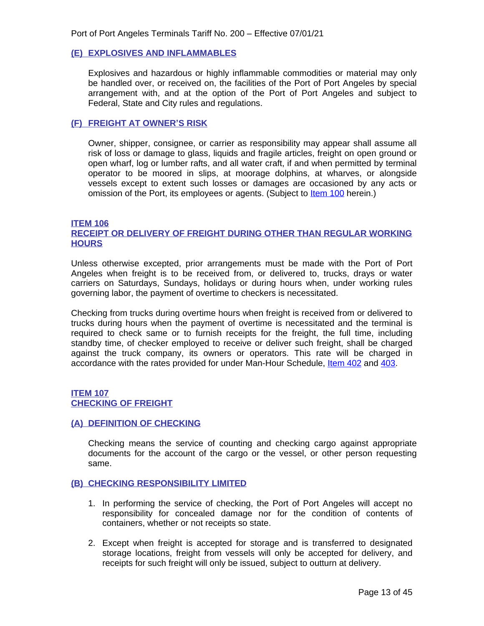### <span id="page-12-0"></span>**(E) EXPLOSIVES AND INFLAMMABLES**

Explosives and hazardous or highly inflammable commodities or material may only be handled over, or received on, the facilities of the Port of Port Angeles by special arrangement with, and at the option of the Port of Port Angeles and subject to Federal, State and City rules and regulations.

#### <span id="page-12-1"></span>**(F) FREIGHT AT OWNER'S RISK**

Owner, shipper, consignee, or carrier as responsibility may appear shall assume all risk of loss or damage to glass, liquids and fragile articles, freight on open ground or open wharf, log or lumber rafts, and all water craft, if and when permitted by terminal operator to be moored in slips, at moorage dolphins, at wharves, or alongside vessels except to extent such losses or damages are occasioned by any acts or omission of the Port, its employees or agents. (Subject to [Item 100](#page-17-5) herein.)

#### <span id="page-12-3"></span><span id="page-12-2"></span>**ITEM 106 RECEIPT OR DELIVERY OF FREIGHT DURING OTHER THAN REGULAR WORKING HOURS**

Unless otherwise excepted, prior arrangements must be made with the Port of Port Angeles when freight is to be received from, or delivered to, trucks, drays or water carriers on Saturdays, Sundays, holidays or during hours when, under working rules governing labor, the payment of overtime to checkers is necessitated.

Checking from trucks during overtime hours when freight is received from or delivered to trucks during hours when the payment of overtime is necessitated and the terminal is required to check same or to furnish receipts for the freight, the full time, including standby time, of checker employed to receive or deliver such freight, shall be charged against the truck company, its owners or operators. This rate will be charged in accordance with the rates provided for under Man-Hour Schedule, [Item 402 and](#page-43-1) [403.](#page-44-0)

## <span id="page-12-5"></span><span id="page-12-4"></span>**[ITEM 107](#page-44-0) [CHECKING OF FREIGHT](#page-44-0)**

#### <span id="page-12-6"></span>**[\(A\) DEFINITION OF CHECKING](#page-44-0)**

Checking means the service of counting and checking cargo against [appropriate](#page-44-0) [documents](#page-44-0) for the account of the cargo or the vessel, or other person requesting [same.](#page-44-0)

#### <span id="page-12-7"></span>**[\(B\) CHECKING RESPONSIBILITY LIMITED](#page-44-0)**

- [1.](#page-44-0) [I](#page-44-0)n [performing](#page-44-0) the service of checking, the Port of Port Angeles will accept no [responsibility](#page-44-0) for concealed damage nor for the condition of contents of [containers, whether or not receipts so state.](#page-44-0)
- [2. E](#page-44-0)xcept when freight is accepted for storage and is transferred to [designated](#page-44-0) storage [locations,](#page-44-0) freight from vessels will only be accepted for delivery, and [receipts for such freight will only be issued, subject to outturn at delivery.](#page-44-0)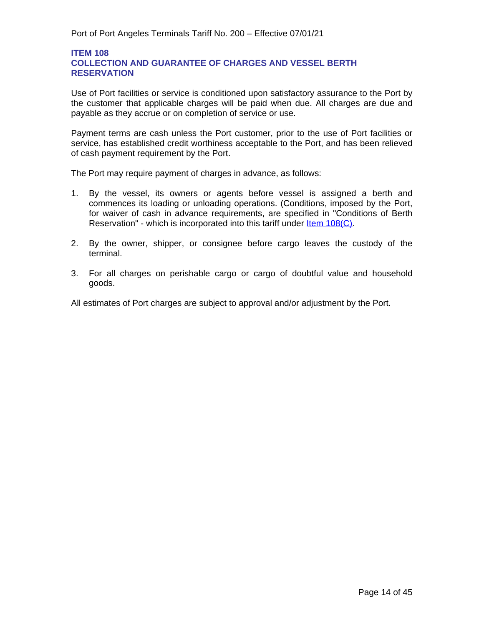## <span id="page-13-2"></span><span id="page-13-1"></span>**ITEM 108 COLLECTION AND GUARANTEE OF CHARGES AND VESSEL BERTH RESERVATION**

Use of Port facilities or service is conditioned upon satisfactory assurance to the Port by the customer that applicable charges will be paid when due. All charges are due and payable as they accrue or on completion of service or use.

Payment terms are cash unless the Port customer, prior to the use of Port facilities or service, has established credit worthiness acceptable to the Port, and has been relieved of cash payment requirement by the Port.

The Port may require payment of charges in advance, as follows:

- 1. By the vessel, its owners or agents before vessel is assigned a berth and commences its loading or unloading operations. (Conditions, imposed by the Port, for waiver of cash in advance requirements, are specified in "Conditions of Berth Reservation" - which is incorporated into this tariff under **Item 108(C)**.
- [2.](#page-16-0) By the owner, shipper, or [consignee](#page-16-0) before cargo leaves the custody of the [terminal.](#page-16-0)
- [3.](#page-16-0) For all charges on perishable cargo or cargo of doubtful value and [household](#page-16-0) [goods.](#page-16-0)

<span id="page-13-0"></span>[All estimates of Port charges are subject to approval and/or adjustment by the Port.](#page-16-0)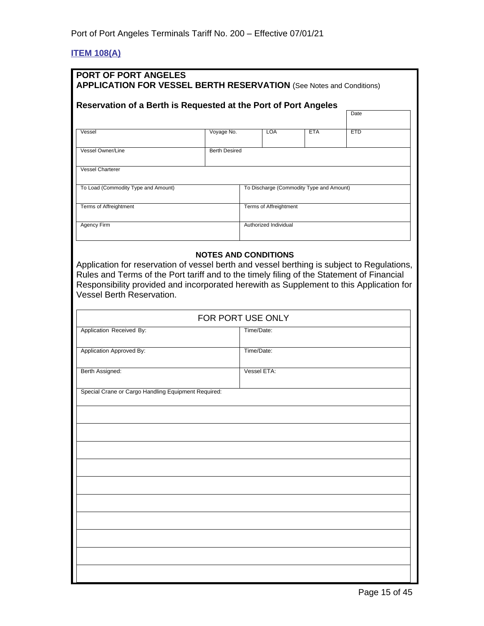# <span id="page-14-0"></span>**ITEM 108(A)**

| <b>PORT OF PORT ANGELES</b><br><b>APPLICATION FOR VESSEL BERTH RESERVATION</b> (See Notes and Conditions)                                                                                                                                                                                                                                      |                                          |     |            |            |  |
|------------------------------------------------------------------------------------------------------------------------------------------------------------------------------------------------------------------------------------------------------------------------------------------------------------------------------------------------|------------------------------------------|-----|------------|------------|--|
| Reservation of a Berth is Requested at the Port of Port Angeles                                                                                                                                                                                                                                                                                |                                          |     |            |            |  |
|                                                                                                                                                                                                                                                                                                                                                |                                          |     |            | Date       |  |
| Vessel                                                                                                                                                                                                                                                                                                                                         | Voyage No.                               | LOA | <b>ETA</b> | <b>ETD</b> |  |
| Vessel Owner/Line                                                                                                                                                                                                                                                                                                                              | <b>Berth Desired</b>                     |     |            |            |  |
| <b>Vessel Charterer</b>                                                                                                                                                                                                                                                                                                                        |                                          |     |            |            |  |
| To Load (Commodity Type and Amount)                                                                                                                                                                                                                                                                                                            | To Discharge (Commodity Type and Amount) |     |            |            |  |
| Terms of Affreightment<br>Terms of Affreightment                                                                                                                                                                                                                                                                                               |                                          |     |            |            |  |
| <b>Agency Firm</b>                                                                                                                                                                                                                                                                                                                             | Authorized Individual                    |     |            |            |  |
| <b>NOTES AND CONDITIONS</b><br>Application for reservation of vessel berth and vessel berthing is subject to Regulations,<br>Rules and Terms of the Port tariff and to the timely filing of the Statement of Financial<br>Responsibility provided and incorporated herewith as Supplement to this Application for<br>Vessel Berth Reservation. |                                          |     |            |            |  |

| FOR PORT USE ONLY                                   |             |  |
|-----------------------------------------------------|-------------|--|
| Application Received By:                            | Time/Date:  |  |
| Application Approved By:                            | Time/Date:  |  |
| Berth Assigned:                                     | Vessel ETA: |  |
| Special Crane or Cargo Handling Equipment Required: |             |  |
|                                                     |             |  |
|                                                     |             |  |
|                                                     |             |  |
|                                                     |             |  |
|                                                     |             |  |
|                                                     |             |  |
|                                                     |             |  |
|                                                     |             |  |
|                                                     |             |  |
|                                                     |             |  |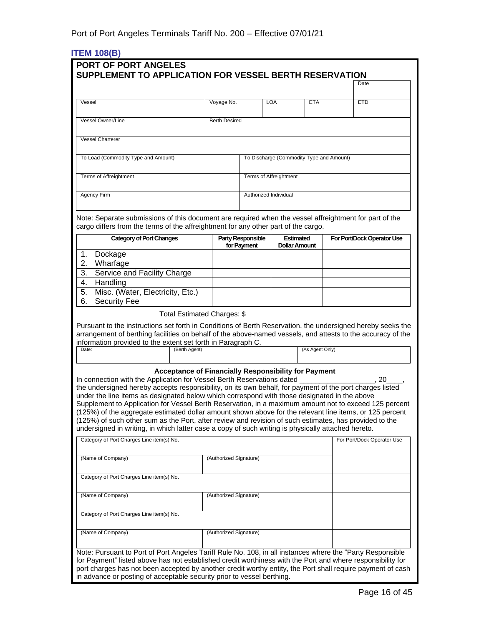# <span id="page-15-0"></span>**ITEM 108(B)**

| PORT OF PORT ANGELES<br>SUPPLEMENT TO APPLICATION FOR VESSEL BERTH RESERVATION                                                                                                                                                                                                                                                                                                                                                                                                                                                                                                                                                                                                                                                                                                              |                        |                          |                                          |                 |  |                            |
|---------------------------------------------------------------------------------------------------------------------------------------------------------------------------------------------------------------------------------------------------------------------------------------------------------------------------------------------------------------------------------------------------------------------------------------------------------------------------------------------------------------------------------------------------------------------------------------------------------------------------------------------------------------------------------------------------------------------------------------------------------------------------------------------|------------------------|--------------------------|------------------------------------------|-----------------|--|----------------------------|
|                                                                                                                                                                                                                                                                                                                                                                                                                                                                                                                                                                                                                                                                                                                                                                                             |                        |                          |                                          |                 |  | Date                       |
| Vessel                                                                                                                                                                                                                                                                                                                                                                                                                                                                                                                                                                                                                                                                                                                                                                                      | Voyage No.             |                          | <b>LOA</b>                               | <b>ETA</b>      |  | <b>ETD</b>                 |
| Vessel Owner/Line                                                                                                                                                                                                                                                                                                                                                                                                                                                                                                                                                                                                                                                                                                                                                                           | <b>Berth Desired</b>   |                          |                                          |                 |  |                            |
|                                                                                                                                                                                                                                                                                                                                                                                                                                                                                                                                                                                                                                                                                                                                                                                             |                        |                          |                                          |                 |  |                            |
| <b>Vessel Charterer</b>                                                                                                                                                                                                                                                                                                                                                                                                                                                                                                                                                                                                                                                                                                                                                                     |                        |                          |                                          |                 |  |                            |
| To Load (Commodity Type and Amount)                                                                                                                                                                                                                                                                                                                                                                                                                                                                                                                                                                                                                                                                                                                                                         |                        |                          | To Discharge (Commodity Type and Amount) |                 |  |                            |
| <b>Terms of Affreightment</b>                                                                                                                                                                                                                                                                                                                                                                                                                                                                                                                                                                                                                                                                                                                                                               |                        |                          | <b>Terms of Affreightment</b>            |                 |  |                            |
| <b>Agency Firm</b>                                                                                                                                                                                                                                                                                                                                                                                                                                                                                                                                                                                                                                                                                                                                                                          |                        |                          | Authorized Individual                    |                 |  |                            |
| Note: Separate submissions of this document are required when the vessel affreightment for part of the<br>cargo differs from the terms of the affreightment for any other part of the cargo.<br><b>Category of Port Changes</b>                                                                                                                                                                                                                                                                                                                                                                                                                                                                                                                                                             |                        | <b>Party Responsible</b> | <b>Estimated</b>                         |                 |  | For Port/Dock Operator Use |
|                                                                                                                                                                                                                                                                                                                                                                                                                                                                                                                                                                                                                                                                                                                                                                                             |                        | for Payment              | <b>Dollar Amount</b>                     |                 |  |                            |
| Dockage<br>1.<br>2.<br>Wharfage                                                                                                                                                                                                                                                                                                                                                                                                                                                                                                                                                                                                                                                                                                                                                             |                        |                          |                                          |                 |  |                            |
| 3.<br>Service and Facility Charge                                                                                                                                                                                                                                                                                                                                                                                                                                                                                                                                                                                                                                                                                                                                                           |                        |                          |                                          |                 |  |                            |
| Handling<br>4.                                                                                                                                                                                                                                                                                                                                                                                                                                                                                                                                                                                                                                                                                                                                                                              |                        |                          |                                          |                 |  |                            |
| Misc. (Water, Electricity, Etc.)<br>5.                                                                                                                                                                                                                                                                                                                                                                                                                                                                                                                                                                                                                                                                                                                                                      |                        |                          |                                          |                 |  |                            |
| 6.<br><b>Security Fee</b>                                                                                                                                                                                                                                                                                                                                                                                                                                                                                                                                                                                                                                                                                                                                                                   |                        |                          |                                          |                 |  |                            |
| Total Estimated Charges: \$                                                                                                                                                                                                                                                                                                                                                                                                                                                                                                                                                                                                                                                                                                                                                                 |                        |                          |                                          |                 |  |                            |
| Pursuant to the instructions set forth in Conditions of Berth Reservation, the undersigned hereby seeks the<br>arrangement of berthing facilities on behalf of the above-named vessels, and attests to the accuracy of the<br>information provided to the extent set forth in Paragraph C.<br>Date:<br>(Berth Agent)                                                                                                                                                                                                                                                                                                                                                                                                                                                                        |                        |                          |                                          | (As Agent Only) |  |                            |
| <b>Acceptance of Financially Responsibility for Payment</b><br>In connection with the Application for Vessel Berth Reservations dated<br>20<br>the undersigned hereby accepts responsibility, on its own behalf, for payment of the port charges listed<br>under the line items as designated below which correspond with those designated in the above<br>Supplement to Application for Vessel Berth Reservation, in a maximum amount not to exceed 125 percent<br>(125%) of the aggregate estimated dollar amount shown above for the relevant line items, or 125 percent<br>(125%) of such other sum as the Port, after review and revision of such estimates, has provided to the<br>undersigned in writing, in which latter case a copy of such writing is physically attached hereto. |                        |                          |                                          |                 |  |                            |
| Category of Port Charges Line item(s) No.                                                                                                                                                                                                                                                                                                                                                                                                                                                                                                                                                                                                                                                                                                                                                   |                        |                          |                                          |                 |  | For Port/Dock Operator Use |
| (Name of Company)                                                                                                                                                                                                                                                                                                                                                                                                                                                                                                                                                                                                                                                                                                                                                                           | (Authorized Signature) |                          |                                          |                 |  |                            |
| Category of Port Charges Line item(s) No.                                                                                                                                                                                                                                                                                                                                                                                                                                                                                                                                                                                                                                                                                                                                                   |                        |                          |                                          |                 |  |                            |
| (Name of Company)                                                                                                                                                                                                                                                                                                                                                                                                                                                                                                                                                                                                                                                                                                                                                                           | (Authorized Signature) |                          |                                          |                 |  |                            |
| Category of Port Charges Line item(s) No.                                                                                                                                                                                                                                                                                                                                                                                                                                                                                                                                                                                                                                                                                                                                                   |                        |                          |                                          |                 |  |                            |
| (Name of Company)                                                                                                                                                                                                                                                                                                                                                                                                                                                                                                                                                                                                                                                                                                                                                                           | (Authorized Signature) |                          |                                          |                 |  |                            |
| Note: Pursuant to Port of Port Angeles Tariff Rule No. 108, in all instances where the "Party Responsible<br>for Payment" listed above has not established credit worthiness with the Port and where responsibility for<br>port charges has not been accepted by another credit worthy entity, the Port shall require payment of cash<br>in advance or posting of acceptable security prior to vessel berthing.                                                                                                                                                                                                                                                                                                                                                                             |                        |                          |                                          |                 |  |                            |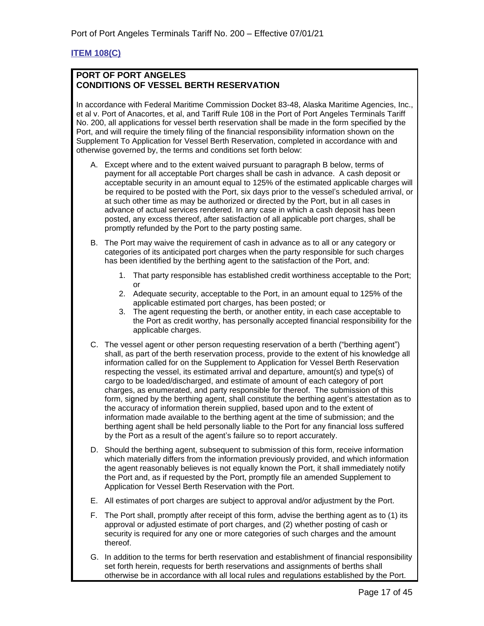# <span id="page-16-0"></span>**ITEM 108(C)**

## **PORT OF PORT ANGELES CONDITIONS OF VESSEL BERTH RESERVATION**

In accordance with Federal Maritime Commission Docket 83-48, Alaska Maritime Agencies, Inc., et al v. Port of Anacortes, et al, and Tariff Rule 108 in the Port of Port Angeles Terminals Tariff No. 200, all applications for vessel berth reservation shall be made in the form specified by the Port, and will require the timely filing of the financial responsibility information shown on the Supplement To Application for Vessel Berth Reservation, completed in accordance with and otherwise governed by, the terms and conditions set forth below:

- A. Except where and to the extent waived pursuant to paragraph B below, terms of payment for all acceptable Port charges shall be cash in advance. A cash deposit or acceptable security in an amount equal to 125% of the estimated applicable charges will be required to be posted with the Port, six days prior to the vessel's scheduled arrival, or at such other time as may be authorized or directed by the Port, but in all cases in advance of actual services rendered. In any case in which a cash deposit has been posted, any excess thereof, after satisfaction of all applicable port charges, shall be promptly refunded by the Port to the party posting same.
- B. The Port may waive the requirement of cash in advance as to all or any category or categories of its anticipated port charges when the party responsible for such charges has been identified by the berthing agent to the satisfaction of the Port, and:
	- 1. That party responsible has established credit worthiness acceptable to the Port; or
	- 2. Adequate security, acceptable to the Port, in an amount equal to 125% of the applicable estimated port charges, has been posted; or
	- 3. The agent requesting the berth, or another entity, in each case acceptable to the Port as credit worthy, has personally accepted financial responsibility for the applicable charges.
- C. The vessel agent or other person requesting reservation of a berth ("berthing agent") shall, as part of the berth reservation process, provide to the extent of his knowledge all information called for on the Supplement to Application for Vessel Berth Reservation respecting the vessel, its estimated arrival and departure, amount(s) and type(s) of cargo to be loaded/discharged, and estimate of amount of each category of port charges, as enumerated, and party responsible for thereof. The submission of this form, signed by the berthing agent, shall constitute the berthing agent's attestation as to the accuracy of information therein supplied, based upon and to the extent of information made available to the berthing agent at the time of submission; and the berthing agent shall be held personally liable to the Port for any financial loss suffered by the Port as a result of the agent's failure so to report accurately.
- D. Should the berthing agent, subsequent to submission of this form, receive information which materially differs from the information previously provided, and which information the agent reasonably believes is not equally known the Port, it shall immediately notify the Port and, as if requested by the Port, promptly file an amended Supplement to Application for Vessel Berth Reservation with the Port.
- E. All estimates of port charges are subject to approval and/or adjustment by the Port.
- F. The Port shall, promptly after receipt of this form, advise the berthing agent as to (1) its approval or adjusted estimate of port charges, and (2) whether posting of cash or security is required for any one or more categories of such charges and the amount thereof.
- G. In addition to the terms for berth reservation and establishment of financial responsibility set forth herein, requests for berth reservations and assignments of berths shall otherwise be in accordance with all local rules and regulations established by the Port.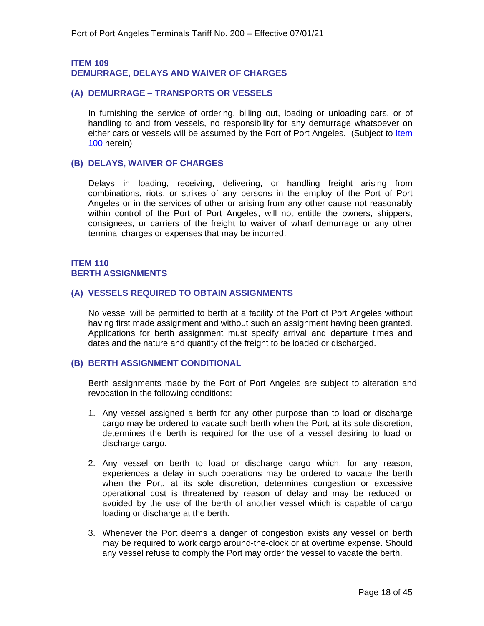# <span id="page-17-1"></span><span id="page-17-0"></span>**ITEM 109 DEMURRAGE, DELAYS AND WAIVER OF CHARGES**

## <span id="page-17-2"></span>**(A) DEMURRAGE – TRANSPORTS OR VESSELS**

In furnishing the service of ordering, billing out, loading or unloading cars, or of handling to and from vessels, no responsibility for any demurrage whatsoever on either cars or vessels will be assumed by the Port of Port Angeles. (Subject to Item 100 herein)

## <span id="page-17-3"></span>**(B) DELAYS, WAIVER OF CHARGES**

Delays in loading, receiving, delivering, or handling freight arising from combinations, riots, or strikes of any persons in the employ of the Port of Port Angeles or in the services of other or arising from any other cause not reasonably within control of the Port of Port Angeles, will not entitle the owners, shippers, consignees, or carriers of the freight to waiver of wharf demurrage or any other terminal charges or expenses that may be incurred.

## <span id="page-17-5"></span><span id="page-17-4"></span>**ITEM 110 BERTH ASSIGNMENTS**

## <span id="page-17-6"></span>**(A) VESSELS REQUIRED TO OBTAIN ASSIGNMENTS**

No vessel will be permitted to berth at a facility of the Port of Port Angeles without having first made assignment and without such an assignment having been granted. Applications for berth assignment must specify arrival and departure times and dates and the nature and quantity of the freight to be loaded or discharged.

#### <span id="page-17-7"></span>**(B) BERTH ASSIGNMENT CONDITIONAL**

Berth assignments made by the Port of Port Angeles are subject to alteration and revocation in the following conditions:

- 1. Any vessel assigned a berth for any other purpose than to load or discharge cargo may be ordered to vacate such berth when the Port, at its sole discretion, determines the berth is required for the use of a vessel desiring to load or discharge cargo.
- 2. Any vessel on berth to load or discharge cargo which, for any reason, experiences a delay in such operations may be ordered to vacate the berth when the Port, at its sole discretion, determines congestion or excessive operational cost is threatened by reason of delay and may be reduced or avoided by the use of the berth of another vessel which is capable of cargo loading or discharge at the berth.
- 3. Whenever the Port deems a danger of congestion exists any vessel on berth may be required to work cargo around-the-clock or at overtime expense. Should any vessel refuse to comply the Port may order the vessel to vacate the berth.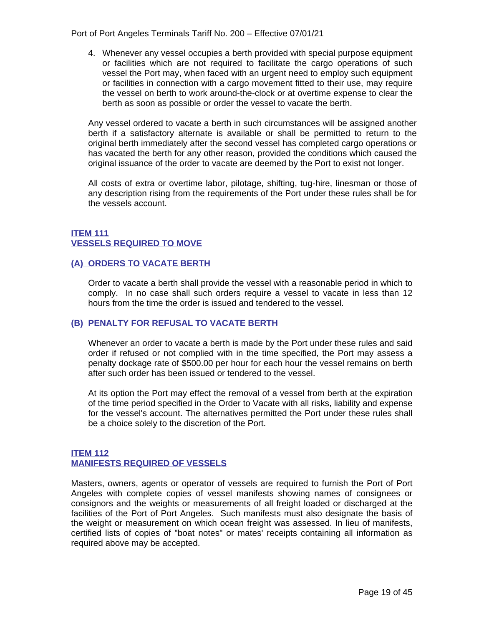Port of Port Angeles Terminals Tariff No. 200 – Effective 07/01/21

4. Whenever any vessel occupies a berth provided with special purpose equipment or facilities which are not required to facilitate the cargo operations of such vessel the Port may, when faced with an urgent need to employ such equipment or facilities in connection with a cargo movement fitted to their use, may require the vessel on berth to work around-the-clock or at overtime expense to clear the berth as soon as possible or order the vessel to vacate the berth.

Any vessel ordered to vacate a berth in such circumstances will be assigned another berth if a satisfactory alternate is available or shall be permitted to return to the original berth immediately after the second vessel has completed cargo operations or has vacated the berth for any other reason, provided the conditions which caused the original issuance of the order to vacate are deemed by the Port to exist not longer.

All costs of extra or overtime labor, pilotage, shifting, tug-hire, linesman or those of any description rising from the requirements of the Port under these rules shall be for the vessels account.

# <span id="page-18-1"></span><span id="page-18-0"></span>**ITEM 111 VESSELS REQUIRED TO MOVE**

# <span id="page-18-2"></span>**(A) ORDERS TO VACATE BERTH**

Order to vacate a berth shall provide the vessel with a reasonable period in which to comply. In no case shall such orders require a vessel to vacate in less than 12 hours from the time the order is issued and tendered to the vessel.

# <span id="page-18-3"></span>**(B) PENALTY FOR REFUSAL TO VACATE BERTH**

Whenever an order to vacate a berth is made by the Port under these rules and said order if refused or not complied with in the time specified, the Port may assess a penalty dockage rate of \$500.00 per hour for each hour the vessel remains on berth after such order has been issued or tendered to the vessel.

At its option the Port may effect the removal of a vessel from berth at the expiration of the time period specified in the Order to Vacate with all risks, liability and expense for the vessel's account. The alternatives permitted the Port under these rules shall be a choice solely to the discretion of the Port.

# <span id="page-18-5"></span><span id="page-18-4"></span>**ITEM 112 MANIFESTS REQUIRED OF VESSELS**

Masters, owners, agents or operator of vessels are required to furnish the Port of Port Angeles with complete copies of vessel manifests showing names of consignees or consignors and the weights or measurements of all freight loaded or discharged at the facilities of the Port of Port Angeles. Such manifests must also designate the basis of the weight or measurement on which ocean freight was assessed. In lieu of manifests, certified lists of copies of "boat notes" or mates' receipts containing all information as required above may be accepted.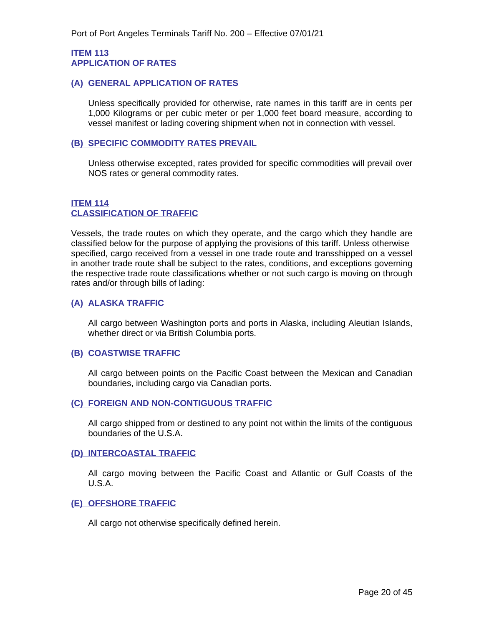## <span id="page-19-1"></span><span id="page-19-0"></span>**ITEM 113 APPLICATION OF RATES**

## <span id="page-19-2"></span>**(A) GENERAL APPLICATION OF RATES**

Unless specifically provided for otherwise, rate names in this tariff are in cents per 1,000 Kilograms or per cubic meter or per 1,000 feet board measure, according to vessel manifest or lading covering shipment when not in connection with vessel.

## <span id="page-19-3"></span>**(B) SPECIFIC COMMODITY RATES PREVAIL**

Unless otherwise excepted, rates provided for specific commodities will prevail over NOS rates or general commodity rates.

# <span id="page-19-5"></span>**ITEM 114 CLASSIFICATION OF TRAFFIC**

<span id="page-19-4"></span>Vessels, the trade routes on which they operate, and the cargo which they handle are classified below for the purpose of applying the provisions of this tariff. Unless otherwise specified, cargo received from a vessel in one trade route and transshipped on a vessel in another trade route shall be subject to the rates, conditions, and exceptions governing the respective trade route classifications whether or not such cargo is moving on through rates and/or through bills of lading:

## <span id="page-19-6"></span>**(A) ALASKA TRAFFIC**

All cargo between Washington ports and ports in Alaska, including Aleutian Islands, whether direct or via British Columbia ports.

#### <span id="page-19-7"></span>**(B) COASTWISE TRAFFIC**

All cargo between points on the Pacific Coast between the Mexican and Canadian boundaries, including cargo via Canadian ports.

#### <span id="page-19-8"></span>**(C) FOREIGN AND NON-CONTIGUOUS TRAFFIC**

All cargo shipped from or destined to any point not within the limits of the contiguous boundaries of the U.S.A.

#### <span id="page-19-9"></span>**(D) INTERCOASTAL TRAFFIC**

All cargo moving between the Pacific Coast and Atlantic or Gulf Coasts of the U.S.A.

#### <span id="page-19-10"></span>**(E) OFFSHORE TRAFFIC**

All cargo not otherwise specifically defined herein.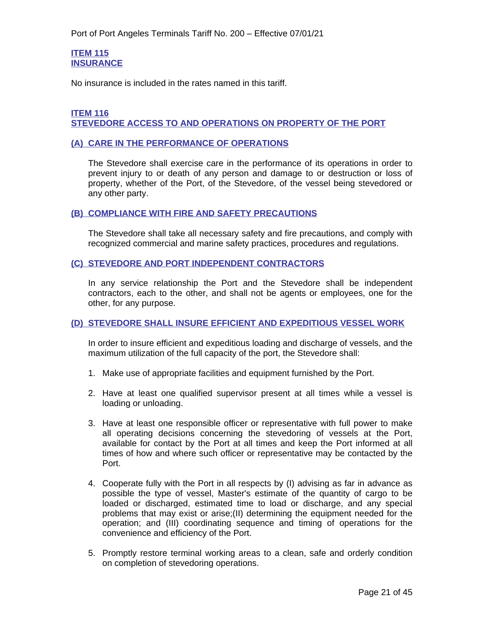## <span id="page-20-1"></span>**ITEM 115 INSURANCE**

<span id="page-20-0"></span>No insurance is included in the rates named in this tariff.

# <span id="page-20-3"></span>**ITEM 116 STEVEDORE ACCESS TO AND OPERATIONS ON PROPERTY OF THE PORT**

#### <span id="page-20-4"></span><span id="page-20-2"></span>**(A) CARE IN THE PERFORMANCE OF OPERATIONS**

The Stevedore shall exercise care in the performance of its operations in order to prevent injury to or death of any person and damage to or destruction or loss of property, whether of the Port, of the Stevedore, of the vessel being stevedored or any other party.

#### <span id="page-20-5"></span>**(B) COMPLIANCE WITH FIRE AND SAFETY PRECAUTIONS**

The Stevedore shall take all necessary safety and fire precautions, and comply with recognized commercial and marine safety practices, procedures and regulations.

## <span id="page-20-6"></span>**(C) STEVEDORE AND PORT INDEPENDENT CONTRACTORS**

In any service relationship the Port and the Stevedore shall be independent contractors, each to the other, and shall not be agents or employees, one for the other, for any purpose.

#### <span id="page-20-7"></span>**(D) STEVEDORE SHALL INSURE EFFICIENT AND EXPEDITIOUS VESSEL WORK**

In order to insure efficient and expeditious loading and discharge of vessels, and the maximum utilization of the full capacity of the port, the Stevedore shall:

- 1. Make use of appropriate facilities and equipment furnished by the Port.
- 2. Have at least one qualified supervisor present at all times while a vessel is loading or unloading.
- 3. Have at least one responsible officer or representative with full power to make all operating decisions concerning the stevedoring of vessels at the Port, available for contact by the Port at all times and keep the Port informed at all times of how and where such officer or representative may be contacted by the Port.
- 4. Cooperate fully with the Port in all respects by (I) advising as far in advance as possible the type of vessel, Master's estimate of the quantity of cargo to be loaded or discharged, estimated time to load or discharge, and any special problems that may exist or arise;(II) determining the equipment needed for the operation; and (III) coordinating sequence and timing of operations for the convenience and efficiency of the Port.
- 5. Promptly restore terminal working areas to a clean, safe and orderly condition on completion of stevedoring operations.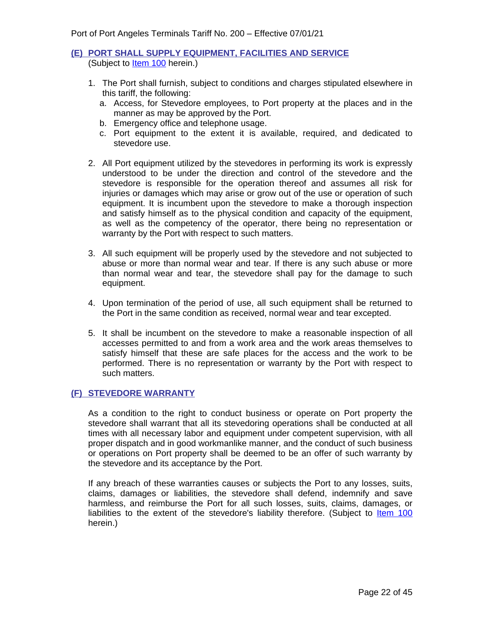### <span id="page-21-0"></span>**(E) PORT SHALL SUPPLY EQUIPMENT, FACILITIES AND SERVICE** (Subject to **Item 100** herein.)

- 1. The Port shall furnish, subject to conditions and charges stipulated elsewhere in this tariff, the following:
	- a. Access, for Stevedore employees, to Port property at the places and in the manner as may be approved by the Port.
	- b. Emergency office and telephone usage.
	- c. Port equipment to the extent it is available, required, and dedicated to stevedore use.
- 2. All Port equipment utilized by the stevedores in performing its work is expressly understood to be under the direction and control of the stevedore and the stevedore is responsible for the operation thereof and assumes all risk for injuries or damages which may arise or grow out of the use or operation of such equipment. It is incumbent upon the stevedore to make a thorough inspection and satisfy himself as to the physical condition and capacity of the equipment, as well as the competency of the operator, there being no representation or warranty by the Port with respect to such matters.
- 3. All such equipment will be properly used by the stevedore and not subjected to abuse or more than normal wear and tear. If there is any such abuse or more than normal wear and tear, the stevedore shall pay for the damage to such equipment.
- 4. Upon termination of the period of use, all such equipment shall be returned to the Port in the same condition as received, normal wear and tear excepted.
- 5. It shall be incumbent on the stevedore to make a reasonable inspection of all accesses permitted to and from a work area and the work areas themselves to satisfy himself that these are safe places for the access and the work to be performed. There is no representation or warranty by the Port with respect to such matters.

# <span id="page-21-1"></span>**(F) STEVEDORE WARRANTY**

As a condition to the right to conduct business or operate on Port property the stevedore shall warrant that all its stevedoring operations shall be conducted at all times with all necessary labor and equipment under competent supervision, with all proper dispatch and in good workmanlike manner, and the conduct of such business or operations on Port property shall be deemed to be an offer of such warranty by the stevedore and its acceptance by the Port.

If any breach of these warranties causes or subjects the Port to any losses, suits, claims, damages or liabilities, the stevedore shall defend, indemnify and save harmless, and reimburse the Port for all such losses, suits, claims, damages, or liabilities to the extent of the stevedore's liability therefore. (Subject to ltem 100 herein.)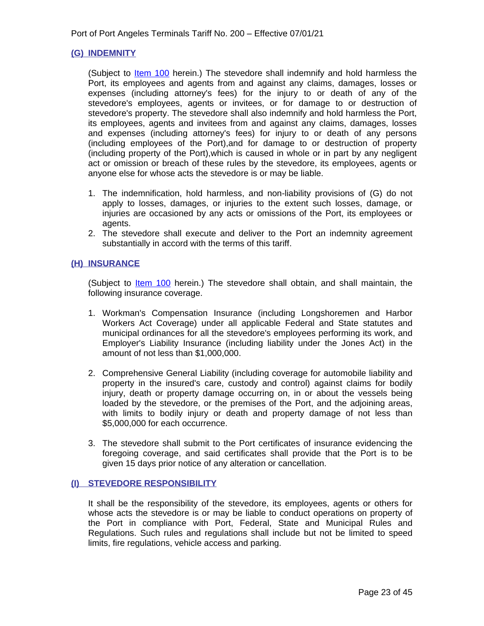## <span id="page-22-0"></span>**(G) INDEMNITY**

(Subject to <u>Item 100</u> herein.) The stevedore shall indemnify and hold harmless the Port, its employees and agents from and against any claims, damages, losses or expenses (including attorney's fees) for the injury to or death of any of the stevedore's employees, agents or invitees, or for damage to or destruction of stevedore's property. The stevedore shall also indemnify and hold harmless the Port, its employees, agents and invitees from and against any claims, damages, losses and expenses (including attorney's fees) for injury to or death of any persons (including employees of the Port),and for damage to or destruction of property (including property of the Port),which is caused in whole or in part by any negligent act or omission or breach of these rules by the stevedore, its employees, agents or anyone else for whose acts the stevedore is or may be liable.

- 1. The indemnification, hold harmless, and non-liability provisions of (G) do not apply to losses, damages, or injuries to the extent such losses, damage, or injuries are occasioned by any acts or omissions of the Port, its employees or agents.
- 2. The stevedore shall execute and deliver to the Port an indemnity agreement substantially in accord with the terms of this tariff.

## <span id="page-22-1"></span>**(H) INSURANCE**

(Subject to **Item 100** herein.) The stevedore shall obtain, and shall maintain, the following insurance coverage.

- 1. Workman's Compensation Insurance (including Longshoremen and Harbor Workers Act Coverage) under all applicable Federal and State statutes and municipal ordinances for all the stevedore's employees performing its work, and Employer's Liability Insurance (including liability under the Jones Act) in the amount of not less than \$1,000,000.
- 2. Comprehensive General Liability (including coverage for automobile liability and property in the insured's care, custody and control) against claims for bodily injury, death or property damage occurring on, in or about the vessels being loaded by the stevedore, or the premises of the Port, and the adjoining areas, with limits to bodily injury or death and property damage of not less than \$5,000,000 for each occurrence.
- 3. The stevedore shall submit to the Port certificates of insurance evidencing the foregoing coverage, and said certificates shall provide that the Port is to be given 15 days prior notice of any alteration or cancellation.

#### <span id="page-22-2"></span>**(I) STEVEDORE RESPONSIBILITY**

It shall be the responsibility of the stevedore, its employees, agents or others for whose acts the stevedore is or may be liable to conduct operations on property of the Port in compliance with Port, Federal, State and Municipal Rules and Regulations. Such rules and regulations shall include but not be limited to speed limits, fire regulations, vehicle access and parking.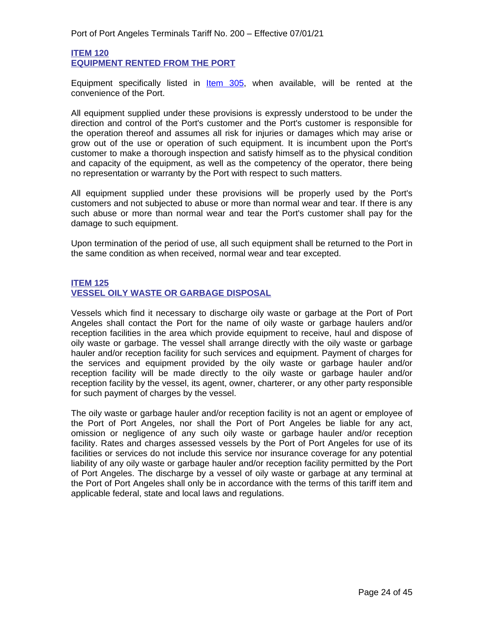## <span id="page-23-1"></span>**ITEM 120 EQUIPMENT RENTED FROM THE PORT**

<span id="page-23-0"></span>Equipment specifically listed in **Item 305**, when available, will be rented at the convenience of the Port.

All equipment supplied under these provisions is expressly understood to be under the direction and control of the Port's customer and the Port's customer is responsible for the operation thereof and assumes all risk for injuries or damages which may arise or grow out of the use or operation of such equipment. It is incumbent upon the Port's customer to make a thorough inspection and satisfy himself as to the physical condition and capacity of the equipment, as well as the competency of the operator, there being no representation or warranty by the Port with respect to such matters.

All equipment supplied under these provisions will be properly used by the Port's customers and not subjected to abuse or more than normal wear and tear. If there is any such abuse or more than normal wear and tear the Port's customer shall pay for the damage to such equipment.

Upon termination of the period of use, all such equipment shall be returned to the Port in the same condition as when received, normal wear and tear excepted.

## <span id="page-23-3"></span>**ITEM 125 VESSEL OILY WASTE OR GARBAGE DISPOSAL**

<span id="page-23-2"></span>Vessels which find it necessary to discharge oily waste or garbage at the Port of Port Angeles shall contact the Port for the name of oily waste or garbage haulers and/or reception facilities in the area which provide equipment to receive, haul and dispose of oily waste or garbage. The vessel shall arrange directly with the oily waste or garbage hauler and/or reception facility for such services and equipment. Payment of charges for the services and equipment provided by the oily waste or garbage hauler and/or reception facility will be made directly to the oily waste or garbage hauler and/or reception facility by the vessel, its agent, owner, charterer, or any other party responsible for such payment of charges by the vessel.

The oily waste or garbage hauler and/or reception facility is not an agent or employee of the Port of Port Angeles, nor shall the Port of Port Angeles be liable for any act, omission or negligence of any such oily waste or garbage hauler and/or reception facility. Rates and charges assessed vessels by the Port of Port Angeles for use of its facilities or services do not include this service nor insurance coverage for any potential liability of any oily waste or garbage hauler and/or reception facility permitted by the Port of Port Angeles. The discharge by a vessel of oily waste or garbage at any terminal at the Port of Port Angeles shall only be in accordance with the terms of this tariff item and applicable federal, state and local laws and regulations.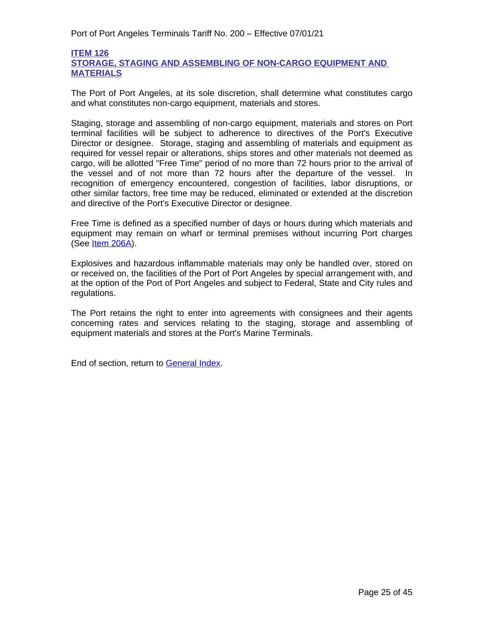# <span id="page-24-1"></span><span id="page-24-0"></span>**ITEM 126 STORAGE, STAGING AND ASSEMBLING OF NON-CARGO EQUIPMENT AND MATERIALS**

The Port of Port Angeles, at its sole discretion, shall determine what constitutes cargo and what constitutes non-cargo equipment, materials and stores.

Staging, storage and assembling of non-cargo equipment, materials and stores on Port terminal facilities will be subject to adherence to directives of the Port's Executive Director or designee. Storage, staging and assembling of materials and equipment as required for vessel repair or alterations, ships stores and other materials not deemed as cargo, will be allotted "Free Time" period of no more than 72 hours prior to the arrival of the vessel and of not more than 72 hours after the departure of the vessel. In recognition of emergency encountered, congestion of facilities, labor disruptions, or other similar factors, free time may be reduced, eliminated or extended at the discretion and directive of the Port's Executive Director or designee.

Free Time is defined as a specified number of days or hours during which materials and equipment may remain on wharf or terminal premises without incurring Port charges (See <u>Item 206A</u>).

Explosives and hazardous inflammable materials may only be handled over, stored on or received on, the facilities of the Port of Port Angeles by special arrangement with, and at the option of the Port of Port Angeles and subject to Federal, State and City rules and regulations.

The Port retains the right to enter into agreements with consignees and their agents concerning rates and services relating to the staging, storage and assembling of equipment materials and stores at the Port's Marine Terminals.

End of section, return to General Index.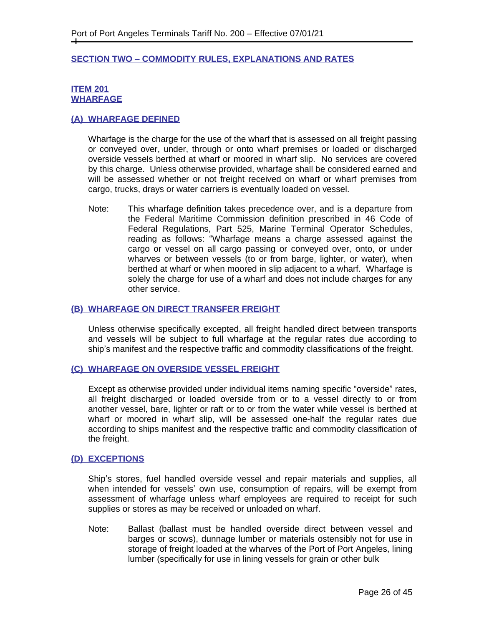#### <span id="page-25-0"></span>**SECTION TWO – COMMODITY RULES, EXPLANATIONS AND RATES**

### <span id="page-25-2"></span>**ITEM 201 WHARFAGE**

## <span id="page-25-3"></span><span id="page-25-1"></span>**(A) WHARFAGE DEFINED**

Wharfage is the charge for the use of the wharf that is assessed on all freight passing or conveyed over, under, through or onto wharf premises or loaded or discharged overside vessels berthed at wharf or moored in wharf slip. No services are covered by this charge. Unless otherwise provided, wharfage shall be considered earned and will be assessed whether or not freight received on wharf or wharf premises from cargo, trucks, drays or water carriers is eventually loaded on vessel.

Note: This wharfage definition takes precedence over, and is a departure from the Federal Maritime Commission definition prescribed in 46 Code of Federal Regulations, Part 525, Marine Terminal Operator Schedules, reading as follows: "Wharfage means a charge assessed against the cargo or vessel on all cargo passing or conveyed over, onto, or under wharves or between vessels (to or from barge, lighter, or water), when berthed at wharf or when moored in slip adjacent to a wharf. Wharfage is solely the charge for use of a wharf and does not include charges for any other service.

#### <span id="page-25-4"></span>**(B) WHARFAGE ON DIRECT TRANSFER FREIGHT**

Unless otherwise specifically excepted, all freight handled direct between transports and vessels will be subject to full wharfage at the regular rates due according to ship's manifest and the respective traffic and commodity classifications of the freight.

#### <span id="page-25-5"></span>**(C) WHARFAGE ON OVERSIDE VESSEL FREIGHT**

Except as otherwise provided under individual items naming specific "overside" rates, all freight discharged or loaded overside from or to a vessel directly to or from another vessel, bare, lighter or raft or to or from the water while vessel is berthed at wharf or moored in wharf slip, will be assessed one-half the regular rates due according to ships manifest and the respective traffic and commodity classification of the freight.

#### <span id="page-25-6"></span>**(D) EXCEPTIONS**

Ship's stores, fuel handled overside vessel and repair materials and supplies, all when intended for vessels' own use, consumption of repairs, will be exempt from assessment of wharfage unless wharf employees are required to receipt for such supplies or stores as may be received or unloaded on wharf.

Note: Ballast (ballast must be handled overside direct between vessel and barges or scows), dunnage lumber or materials ostensibly not for use in storage of freight loaded at the wharves of the Port of Port Angeles, lining lumber (specifically for use in lining vessels for grain or other bulk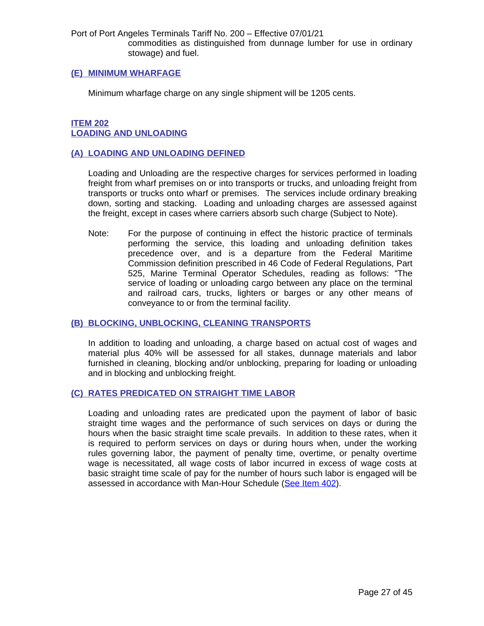Port of Port Angeles Terminals Tariff No. 200 – Effective 07/01/21 commodities as distinguished from dunnage lumber for use in ordinary stowage) and fuel.

#### <span id="page-26-0"></span>**(E) MINIMUM WHARFAGE**

Minimum wharfage charge on any single shipment will be 1205 cents.

# <span id="page-26-2"></span>**ITEM 202 LOADING AND UNLOADING**

#### <span id="page-26-3"></span><span id="page-26-1"></span>**(A) LOADING AND UNLOADING DEFINED**

Loading and Unloading are the respective charges for services performed in loading freight from wharf premises on or into transports or trucks, and unloading freight from transports or trucks onto wharf or premises. The services include ordinary breaking down, sorting and stacking. Loading and unloading charges are assessed against the freight, except in cases where carriers absorb such charge (Subject to Note).

Note: For the purpose of continuing in effect the historic practice of terminals performing the service, this loading and unloading definition takes precedence over, and is a departure from the Federal Maritime Commission definition prescribed in 46 Code of Federal Regulations, Part 525, Marine Terminal Operator Schedules, reading as follows: "The service of loading or unloading cargo between any place on the terminal and railroad cars, trucks, lighters or barges or any other means of conveyance to or from the terminal facility.

#### <span id="page-26-4"></span>**(B) BLOCKING, UNBLOCKING, CLEANING TRANSPORTS**

In addition to loading and unloading, a charge based on actual cost of wages and material plus 40% will be assessed for all stakes, dunnage materials and labor furnished in cleaning, blocking and/or unblocking, preparing for loading or unloading and in blocking and unblocking freight.

#### <span id="page-26-5"></span>**(C) RATES PREDICATED ON STRAIGHT TIME LABOR**

Loading and unloading rates are predicated upon the payment of labor of basic straight time wages and the performance of such services on days or during the hours when the basic straight time scale prevails. In addition to these rates, when it is required to perform services on days or during hours when, under the working rules governing labor, the payment of penalty time, overtime, or penalty overtime wage is necessitated, all wage costs of labor incurred in excess of wage costs at basic straight time scale of pay for the number of hours such labor is engaged will be assessed in accordance with Man-Hour Schedule ([See Item 402\).](#page-43-1)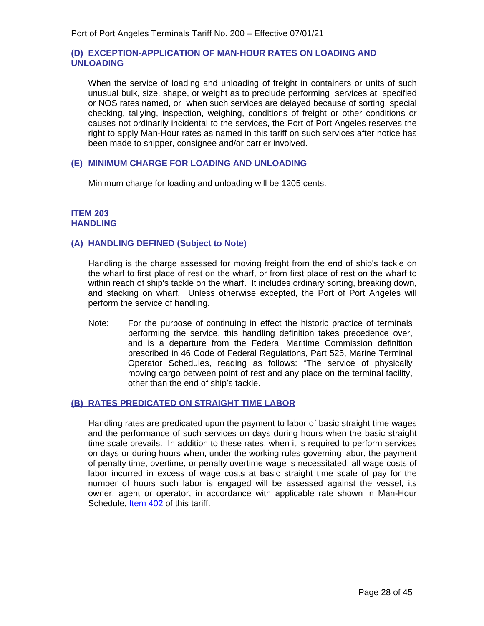# **(D) EXCEPTION-APPLICATION OF MAN-HOUR RATES ON LOADING AND UNLOADING**

When the service of loading and unloading of freight in containers or units of such unusual bulk, size, shape, or weight as to preclude performing services at specified or NOS rates named, or when such services are delayed because of sorting, special checking, tallying, inspection, weighing, conditions of freight or other conditions or causes not ordinarily incidental to the services, the Port of Port Angeles reserves the right to apply Man-Hour rates as named in this tariff on such services after notice has been made to shipper, consignee and/or carrier involved.

## <span id="page-27-0"></span>**(E) MINIMUM CHARGE FOR LOADING AND UNLOADING**

Minimum charge for loading and unloading will be 1205 cents.

## <span id="page-27-2"></span>**ITEM 203 HANDLING**

## <span id="page-27-3"></span><span id="page-27-1"></span>**(A) HANDLING DEFINED (Subject to Note)**

Handling is the charge assessed for moving freight from the end of ship's tackle on the wharf to first place of rest on the wharf, or from first place of rest on the wharf to within reach of ship's tackle on the wharf. It includes ordinary sorting, breaking down, and stacking on wharf. Unless otherwise excepted, the Port of Port Angeles will perform the service of handling.

Note: For the purpose of continuing in effect the historic practice of terminals performing the service, this handling definition takes precedence over, and is a departure from the Federal Maritime Commission definition prescribed in 46 Code of Federal Regulations, Part 525, Marine Terminal Operator Schedules, reading as follows: "The service of physically moving cargo between point of rest and any place on the terminal facility, other than the end of ship's tackle.

# <span id="page-27-4"></span>**(B) RATES PREDICATED ON STRAIGHT TIME LABOR**

Handling rates are predicated upon the payment to labor of basic straight time wages and the performance of such services on days during hours when the basic straight time scale prevails. In addition to these rates, when it is required to perform services on days or during hours when, under the working rules governing labor, the payment of penalty time, overtime, or penalty overtime wage is necessitated, all wage costs of labor incurred in excess of wage costs at basic straight time scale of pay for the number of hours such labor is engaged will be assessed against the vessel, its owner, agent or operator, in accordance with applicable rate shown in Man-Hour Schedule, **Item 402** of this tariff.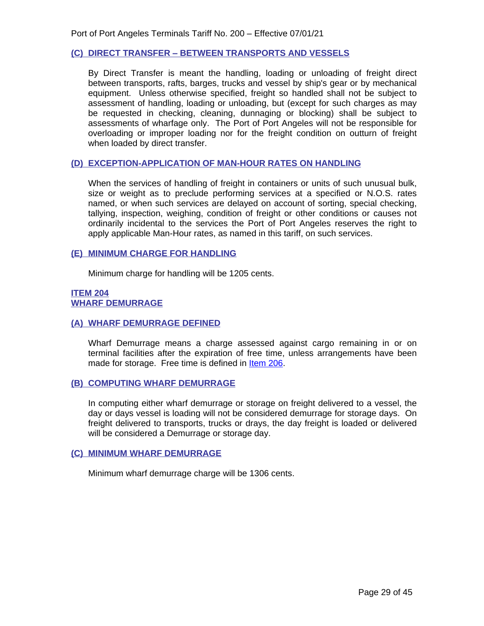## <span id="page-28-0"></span>**(C) DIRECT TRANSFER – BETWEEN TRANSPORTS AND VESSELS**

By Direct Transfer is meant the handling, loading or unloading of freight direct between transports, rafts, barges, trucks and vessel by ship's gear or by mechanical equipment. Unless otherwise specified, freight so handled shall not be subject to assessment of handling, loading or unloading, but (except for such charges as may be requested in checking, cleaning, dunnaging or blocking) shall be subject to assessments of wharfage only. The Port of Port Angeles will not be responsible for overloading or improper loading nor for the freight condition on outturn of freight when loaded by direct transfer.

## **(D) EXCEPTION-APPLICATION OF MAN-HOUR RATES ON HANDLING**

When the services of handling of freight in containers or units of such unusual bulk, size or weight as to preclude performing services at a specified or N.O.S. rates named, or when such services are delayed on account of sorting, special checking, tallying, inspection, weighing, condition of freight or other conditions or causes not ordinarily incidental to the services the Port of Port Angeles reserves the right to apply applicable Man-Hour rates, as named in this tariff, on such services.

#### <span id="page-28-1"></span>**(E) MINIMUM CHARGE FOR HANDLING**

Minimum charge for handling will be 1205 cents.

## <span id="page-28-3"></span>**ITEM 204 WHARF DEMURRAGE**

#### <span id="page-28-4"></span><span id="page-28-2"></span>**(A) WHARF DEMURRAGE DEFINED**

Wharf Demurrage means a charge assessed against cargo remaining in or on terminal facilities after the expiration of free time, unless arrangements have been made for storage. Free time is defined in [Item 206.](#page-29-2)

#### <span id="page-28-5"></span>**(B) COMPUTING WHARF DEMURRAGE**

In computing either wharf demurrage or storage on freight delivered to a vessel, the day or days vessel is loading will not be considered demurrage for storage days. On freight delivered to transports, trucks or drays, the day freight is loaded or delivered will be considered a Demurrage or storage day.

#### <span id="page-28-6"></span>**(C) MINIMUM WHARF DEMURRAGE**

<span id="page-28-7"></span>Minimum wharf demurrage charge will be 1306 cents.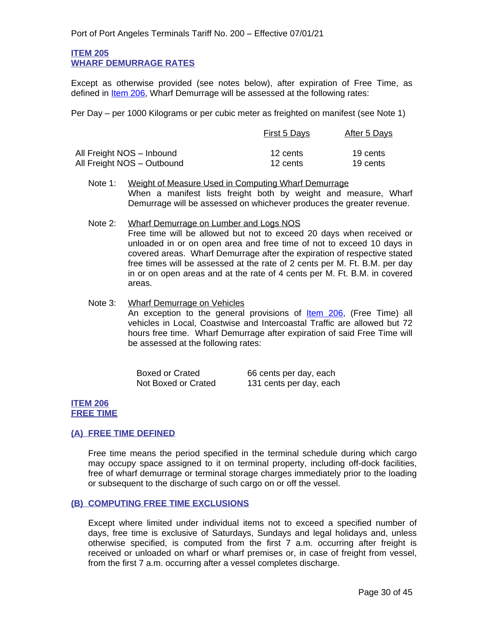#### **ITEM 205 WHARF DEMURRAGE RATES**

<span id="page-29-0"></span>Except as otherwise provided (see notes below), after expiration of Free Time, as defined in [Item 206,](#page-29-2) Wharf Demurrage will be assessed at the following rates:

Per Day – per 1000 Kilograms or per cubic meter as freighted on manifest (see Note 1)

|                            | <b>First 5 Days</b> | After 5 Days |  |
|----------------------------|---------------------|--------------|--|
| All Freight NOS - Inbound  | 12 cents            | 19 cents     |  |
| All Freight NOS - Outbound | 12 cents            | 19 cents     |  |

- Note 1: Weight of Measure Used in Computing Wharf Demurrage When a manifest lists freight both by weight and measure, Wharf Demurrage will be assessed on whichever produces the greater revenue.
- Note 2: Wharf Demurrage on Lumber and Logs NOS Free time will be allowed but not to exceed 20 days when received or unloaded in or on open area and free time of not to exceed 10 days in covered areas. Wharf Demurrage after the expiration of respective stated free times will be assessed at the rate of 2 cents per M. Ft. B.M. per day in or on open areas and at the rate of 4 cents per M. Ft. B.M. in covered areas.
- Note 3: Wharf Demurrage on Vehicles An exception to the general provisions of **[Item 206](#page-29-2)**, (Free Time) all vehicles in Local, Coastwise and Intercoastal Traffic are allowed but 72 hours free time. Wharf Demurrage after expiration of said Free Time will be assessed at the following rates:

| <b>Boxed or Crated</b> | 66 cents per day, each  |
|------------------------|-------------------------|
| Not Boxed or Crated    | 131 cents per day, each |

## <span id="page-29-2"></span>**ITEM 206 FREE TIME**

# <span id="page-29-3"></span><span id="page-29-1"></span>**(A) FREE TIME DEFINED**

Free time means the period specified in the terminal schedule during which cargo may occupy space assigned to it on terminal property, including off-dock facilities, free of wharf demurrage or terminal storage charges immediately prior to the loading or subsequent to the discharge of such cargo on or off the vessel.

#### <span id="page-29-4"></span>**(B) COMPUTING FREE TIME EXCLUSIONS**

Except where limited under individual items not to exceed a specified number of days, free time is exclusive of Saturdays, Sundays and legal holidays and, unless otherwise specified, is computed from the first 7 a.m. occurring after freight is received or unloaded on wharf or wharf premises or, in case of freight from vessel, from the first 7 a.m. occurring after a vessel completes discharge.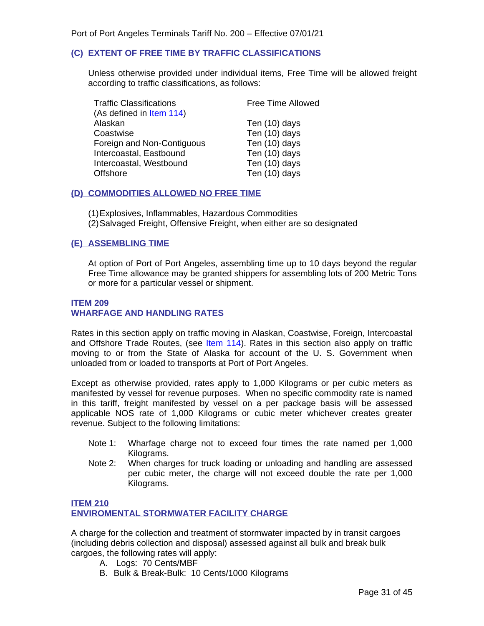# <span id="page-30-0"></span>**(C) EXTENT OF FREE TIME BY TRAFFIC CLASSIFICATIONS**

Unless otherwise provided under individual items, Free Time will be allowed freight according to traffic classifications, as follows:

| <b>Free Time Allowed</b> |
|--------------------------|
|                          |
| Ten (10) days            |
| Ten (10) days            |
| Ten (10) days            |
| Ten (10) days            |
| Ten (10) days            |
| Ten (10) days            |
|                          |

#### <span id="page-30-1"></span>**(D) COMMODITIES ALLOWED NO FREE TIME**

- (1)Explosives, Inflammables, Hazardous Commodities
- (2)Salvaged Freight, Offensive Freight, when either are so designated

# <span id="page-30-2"></span>**(E) ASSEMBLING TIME**

At option of Port of Port Angeles, assembling time up to 10 days beyond the regular Free Time allowance may be granted shippers for assembling lots of 200 Metric Tons or more for a particular vessel or shipment.

#### <span id="page-30-4"></span><span id="page-30-3"></span>**ITEM 209 WHARFAGE AND HANDLING RATES**

Rates in this section apply on traffic moving in Alaskan, Coastwise, Foreign, Intercoastal and Offshore Trade Routes, (see  $Item 114$ ). Rates in this section also apply on traffic</u> moving to or from the State of Alaska for account of the U. S. Government when unloaded from or loaded to transports at Port of Port Angeles.

Except as otherwise provided, rates apply to 1,000 Kilograms or per cubic meters as manifested by vessel for revenue purposes. When no specific commodity rate is named in this tariff, freight manifested by vessel on a per package basis will be assessed applicable NOS rate of 1,000 Kilograms or cubic meter whichever creates greater revenue. Subject to the following limitations:

- Note 1: Wharfage charge not to exceed four times the rate named per 1,000 Kilograms.
- Note 2: When charges for truck loading or unloading and handling are assessed per cubic meter, the charge will not exceed double the rate per 1,000 Kilograms.

# **ITEM 210 ENVIROMENTAL STORMWATER FACILITY CHARGE**

A charge for the collection and treatment of stormwater impacted by in transit cargoes (including debris collection and disposal) assessed against all bulk and break bulk cargoes, the following rates will apply:

- A. Logs: 70 Cents/MBF
- B. Bulk & Break-Bulk: 10 Cents/1000 Kilograms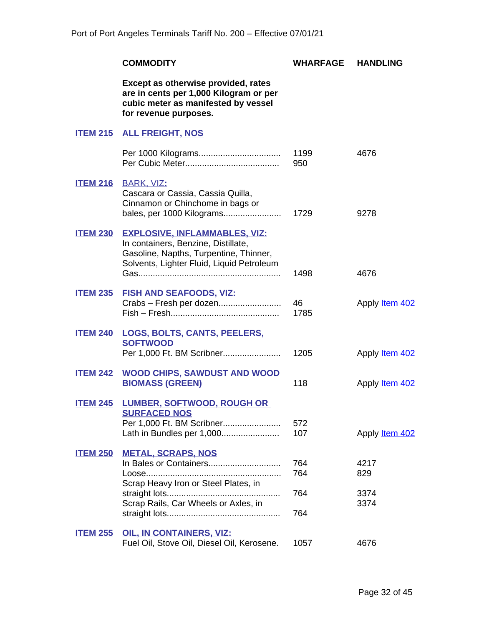<span id="page-31-15"></span><span id="page-31-14"></span><span id="page-31-13"></span><span id="page-31-12"></span><span id="page-31-11"></span><span id="page-31-10"></span><span id="page-31-9"></span><span id="page-31-8"></span><span id="page-31-7"></span><span id="page-31-6"></span><span id="page-31-5"></span><span id="page-31-4"></span><span id="page-31-3"></span><span id="page-31-2"></span><span id="page-31-1"></span><span id="page-31-0"></span>

|                 | <b>COMMODITY</b>                                                                                                                                                   | <b>WHARFAGE</b>   | <b>HANDLING</b>             |
|-----------------|--------------------------------------------------------------------------------------------------------------------------------------------------------------------|-------------------|-----------------------------|
|                 | Except as otherwise provided, rates<br>are in cents per 1,000 Kilogram or per<br>cubic meter as manifested by vessel<br>for revenue purposes.                      |                   |                             |
|                 | <b>ITEM 215 ALL FREIGHT, NOS</b>                                                                                                                                   |                   |                             |
|                 |                                                                                                                                                                    | 1199<br>950       | 4676                        |
| <b>ITEM 216</b> | <b>BARK, VIZ:</b><br>Cascara or Cassia, Cassia Quilla,<br>Cinnamon or Chinchome in bags or<br>bales, per 1000 Kilograms                                            | 1729              | 9278                        |
| <b>ITEM 230</b> | <b>EXPLOSIVE, INFLAMMABLES, VIZ:</b><br>In containers, Benzine, Distillate,<br>Gasoline, Napths, Turpentine, Thinner,<br>Solvents, Lighter Fluid, Liquid Petroleum | 1498              | 4676                        |
| <b>ITEM 235</b> | <b>FISH AND SEAFOODS, VIZ:</b><br>Crabs - Fresh per dozen                                                                                                          | 46<br>1785        | Apply <b>Item 402</b>       |
| <b>ITEM 240</b> | LOGS, BOLTS, CANTS, PEELERS,<br><b>SOFTWOOD</b><br>Per 1,000 Ft. BM Scribner                                                                                       | 1205              | Apply <b>Item 402</b>       |
| <b>ITEM 242</b> | <b>WOOD CHIPS, SAWDUST AND WOOD</b><br><b>BIOMASS (GREEN)</b>                                                                                                      | 118               | Apply <b>Item 402</b>       |
| <b>ITEM 245</b> | <b>LUMBER, SOFTWOOD, ROUGH OR</b><br><b>SURFACED NOS</b><br>Per 1,000 Ft. BM Scribner<br>Lath in Bundles per 1,000                                                 | 572<br>107        | Apply <b>Item 402</b>       |
| <b>ITEM 250</b> | <b>METAL, SCRAPS, NOS</b><br>In Bales or Containers<br>Scrap Heavy Iron or Steel Plates, in<br>Scrap Rails, Car Wheels or Axles, in                                | 764<br>764<br>764 | 4217<br>829<br>3374<br>3374 |
| <b>ITEM 255</b> | <b>OIL, IN CONTAINERS, VIZ:</b>                                                                                                                                    | 764               |                             |
|                 | Fuel Oil, Stove Oil, Diesel Oil, Kerosene.                                                                                                                         | 1057              | 4676                        |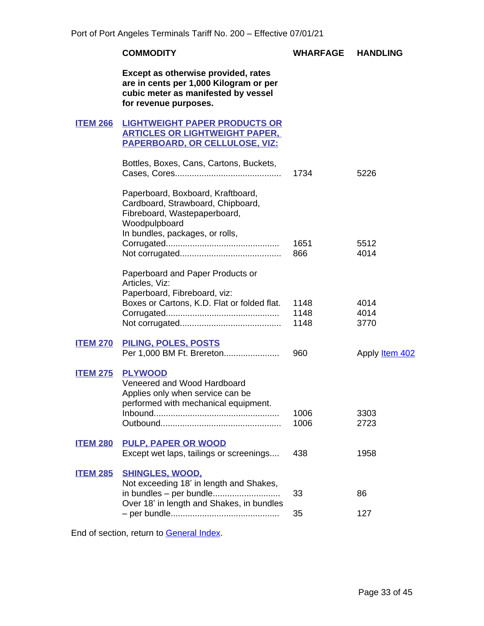# **COMMODITY WHARFAGE HANDLING**

**Except as otherwise provided, rates are in cents per 1,000 Kilogram or per cubic meter as manifested by vessel for revenue purposes.**

## <span id="page-32-1"></span><span id="page-32-0"></span>**ITEM 266 LIGHTWEIGHT PAPER PRODUCTS OR ARTICLES OR LIGHTWEIGHT PAPER, PAPERBOARD, OR CELLULOSE, VIZ:**

|                 | Bottles, Boxes, Cans, Cartons, Buckets,                                                                                   | 1734         | 5226                  |
|-----------------|---------------------------------------------------------------------------------------------------------------------------|--------------|-----------------------|
|                 | Paperboard, Boxboard, Kraftboard,<br>Cardboard, Strawboard, Chipboard,<br>Fibreboard, Wastepaperboard,<br>Woodpulpboard   |              |                       |
|                 | In bundles, packages, or rolls,                                                                                           |              |                       |
|                 |                                                                                                                           | 1651<br>866  | 5512<br>4014          |
|                 | Paperboard and Paper Products or<br>Articles, Viz:                                                                        |              |                       |
|                 | Paperboard, Fibreboard, viz:<br>Boxes or Cartons, K.D. Flat or folded flat.                                               | 1148         | 4014                  |
|                 |                                                                                                                           | 1148         | 4014                  |
|                 |                                                                                                                           | 1148         | 3770                  |
| <b>ITEM 270</b> | PILING, POLES, POSTS                                                                                                      |              |                       |
|                 | Per 1,000 BM Ft. Brereton                                                                                                 | 960          | Apply <b>Item 402</b> |
| <b>ITEM 275</b> | <b>PLYWOOD</b><br>Veneered and Wood Hardboard<br>Applies only when service can be<br>performed with mechanical equipment. |              |                       |
|                 |                                                                                                                           | 1006<br>1006 | 3303<br>2723          |
| <b>ITEM 280</b> | <b>PULP, PAPER OR WOOD</b><br>Except wet laps, tailings or screenings                                                     | 438          | 1958                  |
| <b>ITEM 285</b> | <b>SHINGLES, WOOD,</b><br>Not exceeding 18' in length and Shakes,                                                         |              |                       |
|                 | in bundles - per bundle<br>Over 18' in length and Shakes, in bundles                                                      | 33           | 86                    |
|                 |                                                                                                                           | 35           | 127                   |

<span id="page-32-9"></span><span id="page-32-8"></span><span id="page-32-7"></span><span id="page-32-6"></span><span id="page-32-5"></span><span id="page-32-4"></span><span id="page-32-3"></span><span id="page-32-2"></span>End of section, return to General Index.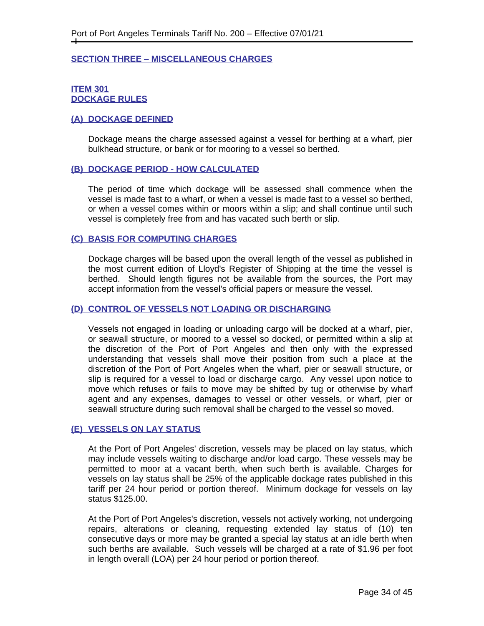#### <span id="page-33-0"></span>**SECTION THREE – MISCELLANEOUS CHARGES**

#### <span id="page-33-2"></span><span id="page-33-1"></span>**ITEM 301 DOCKAGE RULES**

#### <span id="page-33-3"></span>**(A) DOCKAGE DEFINED**

Dockage means the charge assessed against a vessel for berthing at a wharf, pier bulkhead structure, or bank or for mooring to a vessel so berthed.

#### <span id="page-33-4"></span>**(B) DOCKAGE PERIOD - HOW CALCULATED**

The period of time which dockage will be assessed shall commence when the vessel is made fast to a wharf, or when a vessel is made fast to a vessel so berthed, or when a vessel comes within or moors within a slip; and shall continue until such vessel is completely free from and has vacated such berth or slip.

#### <span id="page-33-5"></span>**(C) BASIS FOR COMPUTING CHARGES**

Dockage charges will be based upon the overall length of the vessel as published in the most current edition of Lloyd's Register of Shipping at the time the vessel is berthed. Should length figures not be available from the sources, the Port may accept information from the vessel's official papers or measure the vessel.

#### <span id="page-33-6"></span>**(D) CONTROL OF VESSELS NOT LOADING OR DISCHARGING**

Vessels not engaged in loading or unloading cargo will be docked at a wharf, pier, or seawall structure, or moored to a vessel so docked, or permitted within a slip at the discretion of the Port of Port Angeles and then only with the expressed understanding that vessels shall move their position from such a place at the discretion of the Port of Port Angeles when the wharf, pier or seawall structure, or slip is required for a vessel to load or discharge cargo. Any vessel upon notice to move which refuses or fails to move may be shifted by tug or otherwise by wharf agent and any expenses, damages to vessel or other vessels, or wharf, pier or seawall structure during such removal shall be charged to the vessel so moved.

#### <span id="page-33-7"></span>**(E) VESSELS ON LAY STATUS**

At the Port of Port Angeles' discretion, vessels may be placed on lay status, which may include vessels waiting to discharge and/or load cargo. These vessels may be permitted to moor at a vacant berth, when such berth is available. Charges for vessels on lay status shall be 25% of the applicable dockage rates published in this tariff per 24 hour period or portion thereof. Minimum dockage for vessels on lay status \$125.00.

At the Port of Port Angeles's discretion, vessels not actively working, not undergoing repairs, alterations or cleaning, requesting extended lay status of (10) ten consecutive days or more may be granted a special lay status at an idle berth when such berths are available. Such vessels will be charged at a rate of \$1.96 per foot in length overall (LOA) per 24 hour period or portion thereof.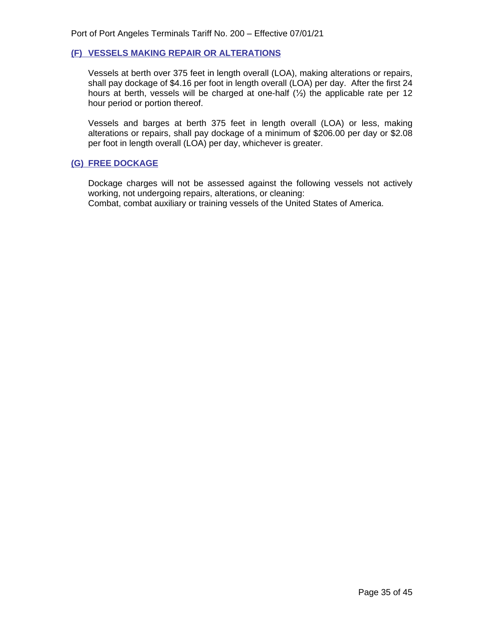### <span id="page-34-0"></span>**(F) VESSELS MAKING REPAIR OR ALTERATIONS**

Vessels at berth over 375 feet in length overall (LOA), making alterations or repairs, shall pay dockage of \$4.16 per foot in length overall (LOA) per day. After the first 24 hours at berth, vessels will be charged at one-half (½) the applicable rate per 12 hour period or portion thereof.

Vessels and barges at berth 375 feet in length overall (LOA) or less, making alterations or repairs, shall pay dockage of a minimum of \$206.00 per day or \$2.08 per foot in length overall (LOA) per day, whichever is greater.

## <span id="page-34-1"></span>**(G) FREE DOCKAGE**

<span id="page-34-2"></span>Dockage charges will not be assessed against the following vessels not actively working, not undergoing repairs, alterations, or cleaning: Combat, combat auxiliary or training vessels of the United States of America.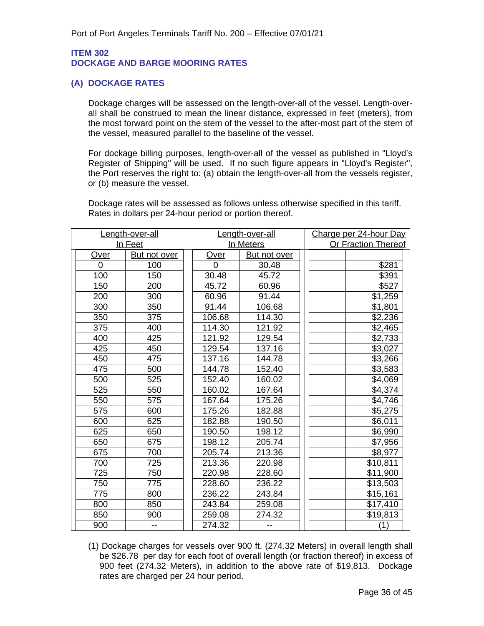## **ITEM 302 DOCKAGE AND BARGE MOORING RATES**

# <span id="page-35-1"></span><span id="page-35-0"></span>**(A) DOCKAGE RATES**

Dockage charges will be assessed on the length-over-all of the vessel. Length-overall shall be construed to mean the linear distance, expressed in feet (meters), from the most forward point on the stem of the vessel to the after-most part of the stern of the vessel, measured parallel to the baseline of the vessel.

For dockage billing purposes, length-over-all of the vessel as published in "Lloyd's Register of Shipping" will be used. If no such figure appears in "Lloyd's Register", the Port reserves the right to: (a) obtain the length-over-all from the vessels register, or (b) measure the vessel.

Dockage rates will be assessed as follows unless otherwise specified in this tariff. Rates in dollars per 24-hour period or portion thereof.

| Length-over-all |              | Length-over-all |                     | Charge per 24-hour Day     |  |
|-----------------|--------------|-----------------|---------------------|----------------------------|--|
| In Feet         |              | In Meters       |                     | <b>Or Fraction Thereof</b> |  |
| <b>Over</b>     | But not over | Over            | <b>But not over</b> |                            |  |
| 0               | 100          | 0               | 30.48               | \$281                      |  |
| 100             | 150          | 30.48           | 45.72               | \$391                      |  |
| 150             | 200          | 45.72           | 60.96               | \$527                      |  |
| 200             | 300          | 60.96           | 91.44               | \$1,259                    |  |
| 300             | 350          | 91.44           | 106.68              | \$1,801                    |  |
| 350             | 375          | 106.68          | 114.30              | \$2,236                    |  |
| 375             | 400          | 114.30          | 121.92              | \$2,465                    |  |
| 400             | 425          | 121.92          | 129.54              | \$2,733                    |  |
| 425             | 450          | 129.54          | 137.16              | \$3,027                    |  |
| 450             | 475          | 137.16          | 144.78              | \$3,266                    |  |
| 475             | 500          | 144.78          | 152.40              | \$3,583                    |  |
| 500             | 525          | 152.40          | 160.02              | \$4,069                    |  |
| 525             | 550          | 160.02          | 167.64              | \$4,374                    |  |
| 550             | 575          | 167.64          | 175.26              | \$4,746                    |  |
| 575             | 600          | 175.26          | 182.88              | \$5,275                    |  |
| 600             | 625          | 182.88          | 190.50              | \$6,011                    |  |
| 625             | 650          | 190.50          | 198.12              | \$6,990                    |  |
| 650             | 675          | 198.12          | 205.74              | \$7,956                    |  |
| 675             | 700          | 205.74          | 213.36              | \$8,977                    |  |
| 700             | 725          | 213.36          | 220.98              | \$10,811                   |  |
| 725             | 750          | 220.98          | 228.60              | \$11,900                   |  |
| 750             | 775          | 228.60          | 236.22              | \$13,503                   |  |
| 775             | 800          | 236.22          | 243.84              | \$15,161                   |  |
| 800             | 850          | 243.84          | 259.08              | \$17,410                   |  |
| 850             | 900          | 259.08          | 274.32              | \$19,813                   |  |
| 900             |              | 274.32          |                     | (1)                        |  |

(1) Dockage charges for vessels over 900 ft. (274.32 Meters) in overall length shall be \$26.78 per day for each foot of overall length (or fraction thereof) in excess of 900 feet (274.32 Meters), in addition to the above rate of \$19,813. Dockage rates are charged per 24 hour period.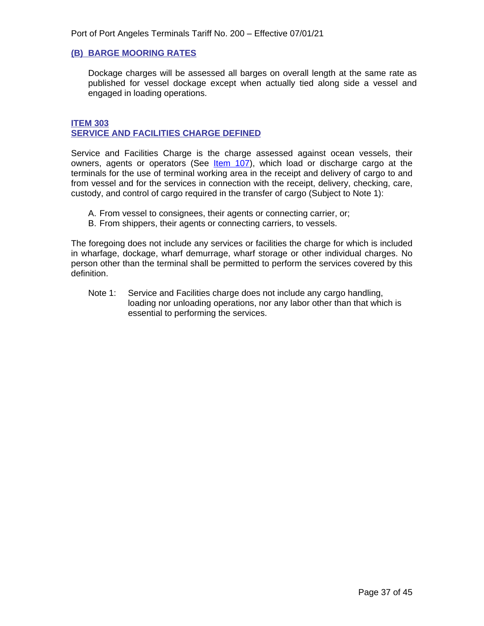### <span id="page-36-0"></span>**(B) BARGE MOORING RATES**

Dockage charges will be assessed all barges on overall length at the same rate as published for vessel dockage except when actually tied along side a vessel and engaged in loading operations.

#### <span id="page-36-2"></span>**ITEM 303 SERVICE AND FACILITIES CHARGE DEFINED**

<span id="page-36-1"></span>Service and Facilities Charge is the charge assessed against ocean vessels, their owners, agents or operators (See *Item 107)*, which load or discharge cargo at the terminals for the use of terminal working area in the receipt and delivery of cargo to and from vessel and for the services in connection with the receipt, delivery, checking, care, custody, and control of cargo required in the transfer of cargo (Subject to Note 1):

- A. From vessel to consignees, their agents or connecting carrier, or;
- B. From shippers, their agents or connecting carriers, to vessels.

The foregoing does not include any services or facilities the charge for which is included in wharfage, dockage, wharf demurrage, wharf storage or other individual charges. No person other than the terminal shall be permitted to perform the services covered by this definition.

Note 1: Service and Facilities charge does not include any cargo handling, loading nor unloading operations, nor any labor other than that which is essential to performing the services.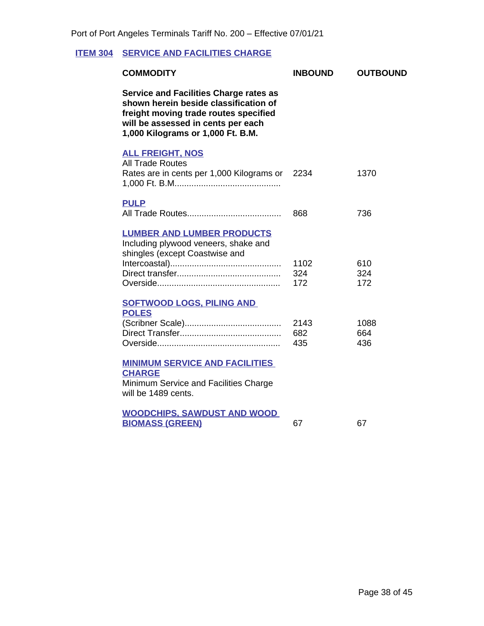# <span id="page-37-1"></span>**ITEM 304 SERVICE AND FACILITIES CHARGE**

<span id="page-37-4"></span><span id="page-37-3"></span><span id="page-37-2"></span><span id="page-37-0"></span>

| <b>COMMODITY</b>                                                                                                                                                                                           | <b>INBOUND</b>     | <b>OUTBOUND</b>    |
|------------------------------------------------------------------------------------------------------------------------------------------------------------------------------------------------------------|--------------------|--------------------|
| <b>Service and Facilities Charge rates as</b><br>shown herein beside classification of<br>freight moving trade routes specified<br>will be assessed in cents per each<br>1,000 Kilograms or 1,000 Ft. B.M. |                    |                    |
| <b>ALL FREIGHT, NOS</b><br><b>All Trade Routes</b><br>Rates are in cents per 1,000 Kilograms or                                                                                                            | 2234               | 1370               |
| <b>PULP</b>                                                                                                                                                                                                | 868                | 736                |
| <b>LUMBER AND LUMBER PRODUCTS</b><br>Including plywood veneers, shake and<br>shingles (except Coastwise and                                                                                                | 1102<br>324<br>172 | 610<br>324<br>172  |
| <b>SOFTWOOD LOGS, PILING AND</b><br><b>POLES</b>                                                                                                                                                           | 2143<br>682<br>435 | 1088<br>664<br>436 |
| <b>MINIMUM SERVICE AND FACILITIES</b><br><b>CHARGE</b><br>Minimum Service and Facilities Charge<br>will be 1489 cents.                                                                                     |                    |                    |
| <b>WOODCHIPS, SAWDUST AND WOOD</b><br><b>BIOMASS (GREEN)</b>                                                                                                                                               | 67                 | 67                 |
|                                                                                                                                                                                                            |                    |                    |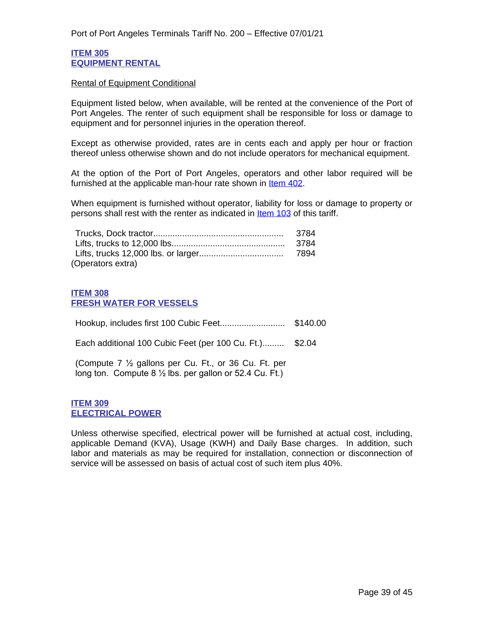#### <span id="page-38-1"></span>**ITEM 305 EQUIPMENT RENTAL**

#### <span id="page-38-0"></span>Rental of Equipment Conditional

Equipment listed below, when available, will be rented at the convenience of the Port of Port Angeles. The renter of such equipment shall be responsible for loss or damage to equipment and for personnel injuries in the operation thereof.

Except as otherwise provided, rates are in cents each and apply per hour or fraction thereof unless otherwise shown and do not include operators for mechanical equipment.

At the option of the Port of Port Angeles, operators and other labor required will be furnished at the applicable man-hour rate shown in [Item 402.](#page-43-1)

When equipment is furnished without operator, liability for loss or damage to property or persons shall rest with the renter as indicated in Item 103 of this tariff.

| (Operators extra) |  |
|-------------------|--|

## <span id="page-38-3"></span>**ITEM 308 FRESH WATER FOR VESSELS**

<span id="page-38-2"></span>Hookup, includes first 100 Cubic Feet........................... \$140.00 Each additional 100 Cubic Feet (per 100 Cu. Ft.)......... \$2.04

(Compute 7 ½ gallons per Cu. Ft., or 36 Cu. Ft. per long ton. Compute 8 ½ lbs. per gallon or 52.4 Cu. Ft.)

#### <span id="page-38-5"></span>**ITEM 309 ELECTRICAL POWER**

<span id="page-38-4"></span>Unless otherwise specified, electrical power will be furnished at actual cost, including, applicable Demand (KVA), Usage (KWH) and Daily Base charges. In addition, such labor and materials as may be required for installation, connection or disconnection of service will be assessed on basis of actual cost of such item plus 40%.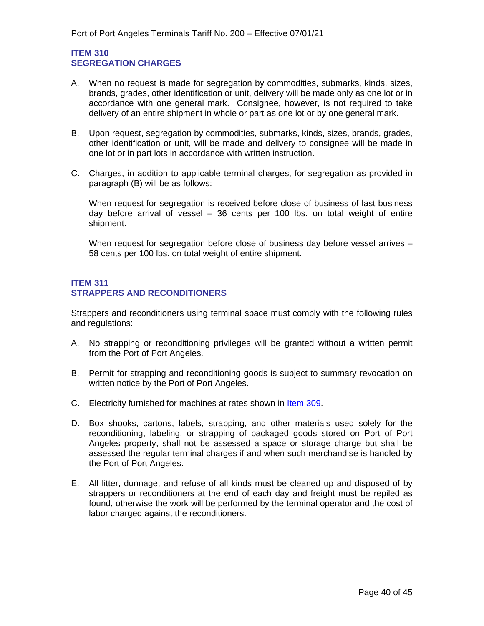## <span id="page-39-1"></span>**ITEM 310 SEGREGATION CHARGES**

- <span id="page-39-0"></span>A. When no request is made for segregation by commodities, submarks, kinds, sizes, brands, grades, other identification or unit, delivery will be made only as one lot or in accordance with one general mark. Consignee, however, is not required to take delivery of an entire shipment in whole or part as one lot or by one general mark.
- B. Upon request, segregation by commodities, submarks, kinds, sizes, brands, grades, other identification or unit, will be made and delivery to consignee will be made in one lot or in part lots in accordance with written instruction.
- C. Charges, in addition to applicable terminal charges, for segregation as provided in paragraph (B) will be as follows:

When request for segregation is received before close of business of last business day before arrival of vessel – 36 cents per 100 lbs. on total weight of entire shipment.

When request for segregation before close of business day before vessel arrives -58 cents per 100 lbs. on total weight of entire shipment.

## <span id="page-39-3"></span>**ITEM 311 STRAPPERS AND RECONDITIONERS**

<span id="page-39-2"></span>Strappers and reconditioners using terminal space must comply with the following rules and regulations:

- A. No strapping or reconditioning privileges will be granted without a written permit from the Port of Port Angeles.
- B. Permit for strapping and reconditioning goods is subject to summary revocation on written notice by the Port of Port Angeles.
- C. Electricity furnished for machines at rates shown in Item 309.
- D. Box shooks, cartons, labels, strapping, and other materials used solely for the reconditioning, labeling, or strapping of packaged goods stored on Port of Port Angeles property, shall not be assessed a space or storage charge but shall be assessed the regular terminal charges if and when such merchandise is handled by the Port of Port Angeles.
- E. All litter, dunnage, and refuse of all kinds must be cleaned up and disposed of by strappers or reconditioners at the end of each day and freight must be repiled as found, otherwise the work will be performed by the terminal operator and the cost of labor charged against the reconditioners.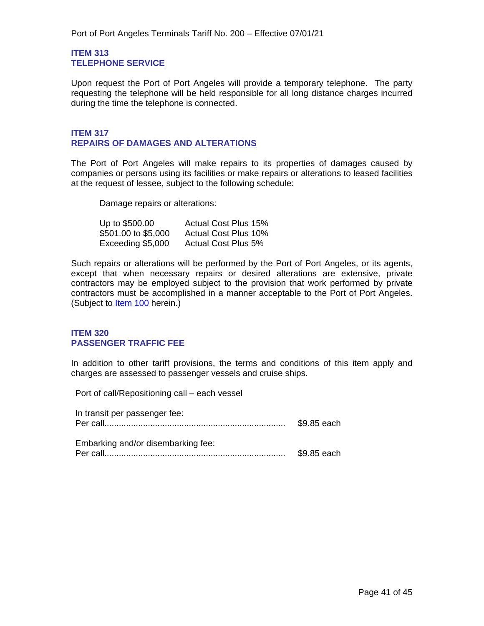#### <span id="page-40-1"></span>**ITEM 313 TELEPHONE SERVICE**

<span id="page-40-0"></span>Upon request the Port of Port Angeles will provide a temporary telephone. The party requesting the telephone will be held responsible for all long distance charges incurred during the time the telephone is connected.

## <span id="page-40-3"></span>**ITEM 317 REPAIRS OF DAMAGES AND ALTERATIONS**

<span id="page-40-2"></span>The Port of Port Angeles will make repairs to its properties of damages caused by companies or persons using its facilities or make repairs or alterations to leased facilities at the request of lessee, subject to the following schedule:

Damage repairs or alterations:

| Up to \$500.00      | <b>Actual Cost Plus 15%</b> |
|---------------------|-----------------------------|
| \$501.00 to \$5,000 | <b>Actual Cost Plus 10%</b> |
| Exceeding \$5,000   | <b>Actual Cost Plus 5%</b>  |

Such repairs or alterations will be performed by the Port of Port Angeles, or its agents, except that when necessary repairs or desired alterations are extensive, private contractors may be employed subject to the provision that work performed by private contractors must be accomplished in a manner acceptable to the Port of Port Angeles. (Subject to ltem 100 herein.)

## <span id="page-40-5"></span>**ITEM 320 PASSENGER TRAFFIC FEE**

<span id="page-40-4"></span>In addition to other tariff provisions, the terms and conditions of this item apply and charges are assessed to passenger vessels and cruise ships.

Port of call/Repositioning call – each vessel

| In transit per passenger fee:      | \$9.85 each |
|------------------------------------|-------------|
| Embarking and/or disembarking fee: | \$9.85 each |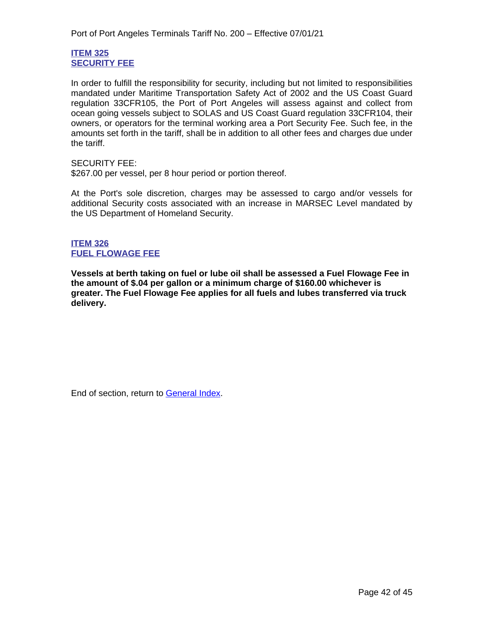## <span id="page-41-1"></span>**ITEM 325 SECURITY FEE**

<span id="page-41-0"></span>In order to fulfill the responsibility for security, including but not limited to responsibilities mandated under Maritime Transportation Safety Act of 2002 and the US Coast Guard regulation 33CFR105, the Port of Port Angeles will assess against and collect from ocean going vessels subject to SOLAS and US Coast Guard regulation 33CFR104, their owners, or operators for the terminal working area a Port Security Fee. Such fee, in the amounts set forth in the tariff, shall be in addition to all other fees and charges due under the tariff.

SECURITY FEE:

\$267.00 per vessel, per 8 hour period or portion thereof.

At the Port's sole discretion, charges may be assessed to cargo and/or vessels for additional Security costs associated with an increase in MARSEC Level mandated by the US Department of Homeland Security.

## **ITEM 326 FUEL FLOWAGE FEE**

**Vessels at berth taking on fuel or lube oil shall be assessed a Fuel Flowage Fee in the amount of \$.04 per gallon or a minimum charge of \$160.00 whichever is greater. The Fuel Flowage Fee applies for all fuels and lubes transferred via truck delivery.**

End of section, return to General Index.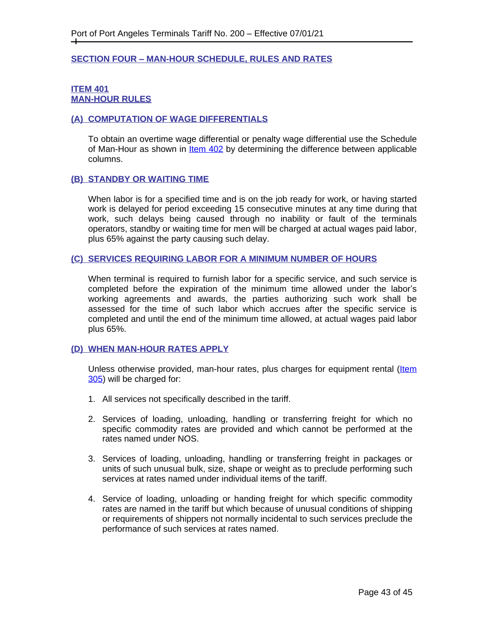# <span id="page-42-0"></span>**SECTION FOUR – MAN-HOUR SCHEDULE, RULES AND RATES**

## <span id="page-42-1"></span>**ITEM 401 MAN-HOUR RULES**

# <span id="page-42-2"></span>**(A) COMPUTATION OF WAGE DIFFERENTIALS**

To obtain an overtime wage differential or penalty wage differential use the Schedule of Man-Hour as shown in **[Item 402](#page-43-1)** by determining the difference between applicable columns.

## <span id="page-42-3"></span>**(B) STANDBY OR WAITING TIME**

When labor is for a specified time and is on the job ready for work, or having started work is delayed for period exceeding 15 consecutive minutes at any time during that work, such delays being caused through no inability or fault of the terminals operators, standby or waiting time for men will be charged at actual wages paid labor, plus 65% against the party causing such delay.

#### <span id="page-42-4"></span>**(C) SERVICES REQUIRING LABOR FOR A MINIMUM NUMBER OF HOURS**

When terminal is required to furnish labor for a specific service, and such service is completed before the expiration of the minimum time allowed under the labor's working agreements and awards, the parties authorizing such work shall be assessed for the time of such labor which accrues after the specific service is completed and until the end of the minimum time allowed, at actual wages paid labor plus 65%.

#### **(D) WHEN MAN-HOUR RATES APPLY**

Unless otherwise provided, man-hour rates, plus charges for equipment rental (Item 305) will be charged for:

- 1. All services not specifically described in the tariff.
- 2. Services of loading, unloading, handling or transferring freight for which no specific commodity rates are provided and which cannot be performed at the rates named under NOS.
- 3. Services of loading, unloading, handling or transferring freight in packages or units of such unusual bulk, size, shape or weight as to preclude performing such services at rates named under individual items of the tariff.
- 4. Service of loading, unloading or handing freight for which specific commodity rates are named in the tariff but which because of unusual conditions of shipping or requirements of shippers not normally incidental to such services preclude the performance of such services at rates named.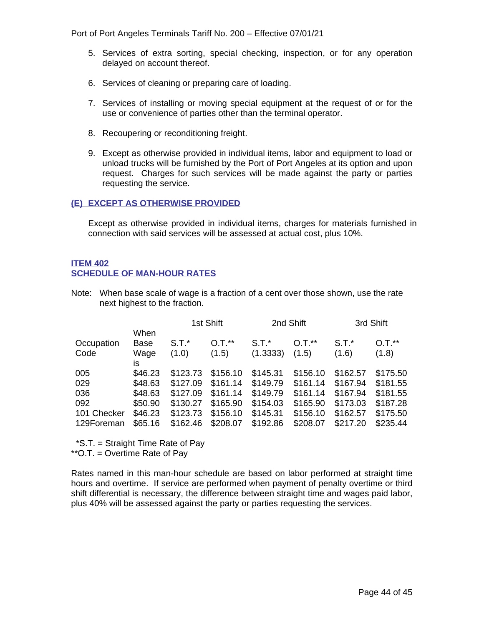Port of Port Angeles Terminals Tariff No. 200 – Effective 07/01/21

- 5. Services of extra sorting, special checking, inspection, or for any operation delayed on account thereof.
- 6. Services of cleaning or preparing care of loading.
- 7. Services of installing or moving special equipment at the request of or for the use or convenience of parties other than the terminal operator.
- 8. Recoupering or reconditioning freight.
- 9. Except as otherwise provided in individual items, labor and equipment to load or unload trucks will be furnished by the Port of Port Angeles at its option and upon request. Charges for such services will be made against the party or parties requesting the service.

# <span id="page-43-0"></span>**(E) EXCEPT AS OTHERWISE PROVIDED**

Except as otherwise provided in individual items, charges for materials furnished in connection with said services will be assessed at actual cost, plus 10%.

# <span id="page-43-1"></span>**ITEM 402 SCHEDULE OF MAN-HOUR RATES**

Note: When base scale of wage is a fraction of a cent over those shown, use the rate next highest to the fraction.

|             |         |          | 1st Shift<br>2nd Shift |          | 3rd Shift |          |          |
|-------------|---------|----------|------------------------|----------|-----------|----------|----------|
|             | When    |          |                        |          |           |          |          |
| Occupation  | Base    | $S.T.*$  | $0.7.*$                | $S.T.*$  | $O.T.**$  | $S.T.*$  | $O.T.**$ |
| Code        | Wage    | (1.0)    | (1.5)                  | (1.3333) | (1.5)     | (1.6)    | (1.8)    |
|             | is      |          |                        |          |           |          |          |
| 005         | \$46.23 | \$123.73 | \$156.10               | \$145.31 | \$156.10  | \$162.57 | \$175.50 |
| 029         | \$48.63 | \$127.09 | \$161.14               | \$149.79 | \$161.14  | \$167.94 | \$181.55 |
| 036         | \$48.63 | \$127.09 | \$161.14               | \$149.79 | \$161.14  | \$167.94 | \$181.55 |
| 092         | \$50.90 | \$130.27 | \$165.90               | \$154.03 | \$165.90  | \$173.03 | \$187.28 |
| 101 Checker | \$46.23 | \$123.73 | \$156.10               | \$145.31 | \$156.10  | \$162.57 | \$175.50 |
| 129Foreman  | \$65.16 | \$162.46 | \$208.07               | \$192.86 | \$208.07  | \$217.20 | \$235.44 |

\*S.T. = Straight Time Rate of Pay

\*\*O.T. = Overtime Rate of Pay

Rates named in this man-hour schedule are based on labor performed at straight time hours and overtime. If service are performed when payment of penalty overtime or third shift differential is necessary, the difference between straight time and wages paid labor, plus 40% will be assessed against the party or parties requesting the services.